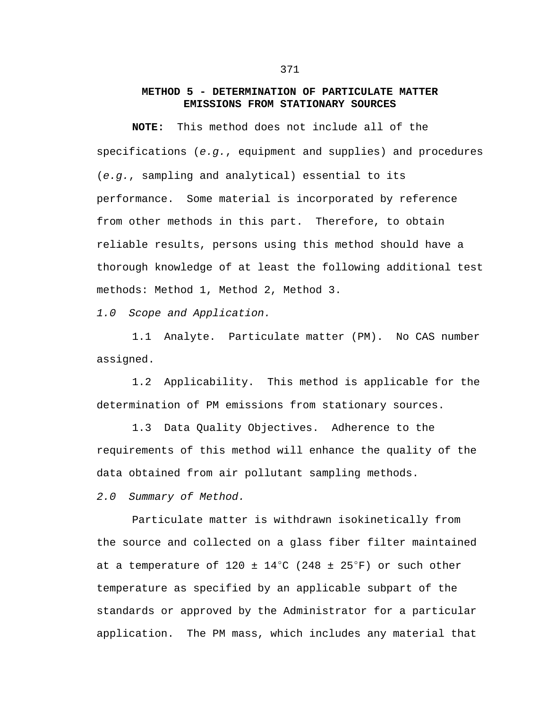## **METHOD 5 - DETERMINATION OF PARTICULATE MATTER EMISSIONS FROM STATIONARY SOURCES**

**NOTE:** This method does not include all of the specifications (*e.g.*, equipment and supplies) and procedures (*e.g.*, sampling and analytical) essential to its performance. Some material is incorporated by reference from other methods in this part. Therefore, to obtain reliable results, persons using this method should have a thorough knowledge of at least the following additional test methods: Method 1, Method 2, Method 3.

*1.0 Scope and Application.*

1.1 Analyte. Particulate matter (PM). No CAS number assigned.

1.2 Applicability. This method is applicable for the determination of PM emissions from stationary sources.

1.3 Data Quality Objectives. Adherence to the requirements of this method will enhance the quality of the data obtained from air pollutant sampling methods.

*2.0 Summary of Method.*

Particulate matter is withdrawn isokinetically from the source and collected on a glass fiber filter maintained at a temperature of 120  $\pm$  14°C (248  $\pm$  25°F) or such other temperature as specified by an applicable subpart of the standards or approved by the Administrator for a particular application. The PM mass, which includes any material that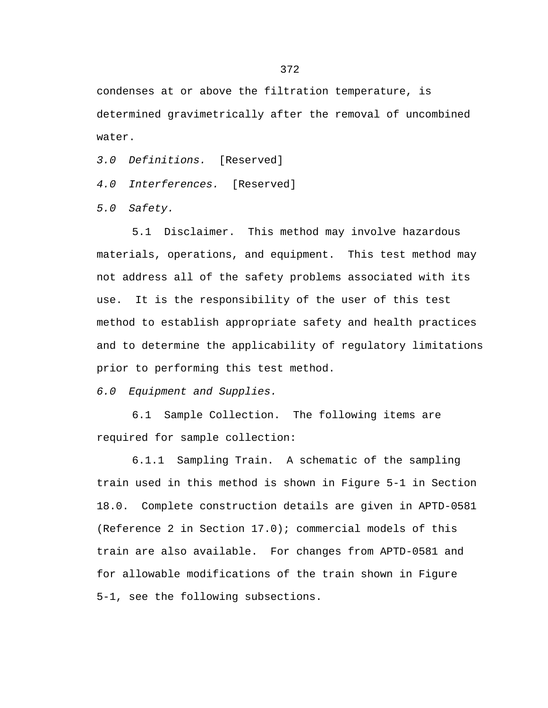condenses at or above the filtration temperature, is determined gravimetrically after the removal of uncombined water.

*3.0 Definitions.* [Reserved]

*4.0 Interferences.* [Reserved]

*5.0 Safety.*

5.1 Disclaimer. This method may involve hazardous materials, operations, and equipment. This test method may not address all of the safety problems associated with its use. It is the responsibility of the user of this test method to establish appropriate safety and health practices and to determine the applicability of regulatory limitations prior to performing this test method.

*6.0 Equipment and Supplies.*

6.1 Sample Collection. The following items are required for sample collection:

6.1.1 Sampling Train. A schematic of the sampling train used in this method is shown in Figure 5-1 in Section 18.0. Complete construction details are given in APTD-0581 (Reference 2 in Section 17.0); commercial models of this train are also available. For changes from APTD-0581 and for allowable modifications of the train shown in Figure 5-1, see the following subsections.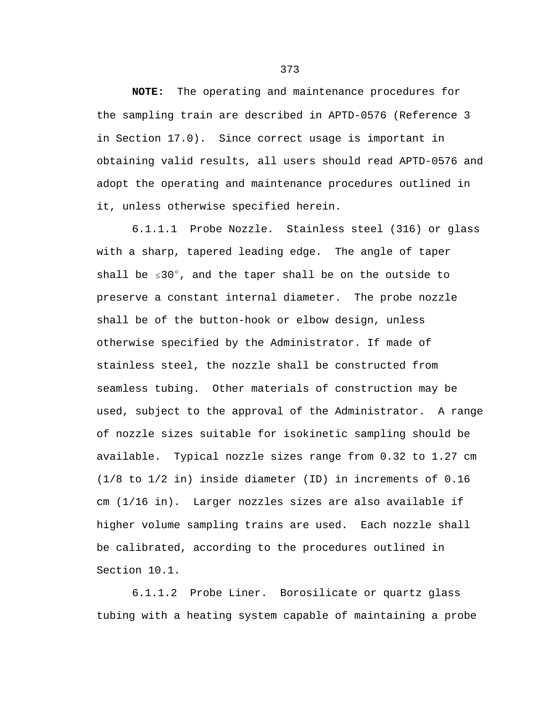**NOTE:** The operating and maintenance procedures for the sampling train are described in APTD-0576 (Reference 3 in Section 17.0). Since correct usage is important in obtaining valid results, all users should read APTD-0576 and adopt the operating and maintenance procedures outlined in it, unless otherwise specified herein.

6.1.1.1 Probe Nozzle. Stainless steel (316) or glass with a sharp, tapered leading edge. The angle of taper shall be  $\leq 30^{\circ}$ , and the taper shall be on the outside to preserve a constant internal diameter. The probe nozzle shall be of the button-hook or elbow design, unless otherwise specified by the Administrator. If made of stainless steel, the nozzle shall be constructed from seamless tubing. Other materials of construction may be used, subject to the approval of the Administrator. A range of nozzle sizes suitable for isokinetic sampling should be available. Typical nozzle sizes range from 0.32 to 1.27 cm (1/8 to 1/2 in) inside diameter (ID) in increments of 0.16 cm (1/16 in). Larger nozzles sizes are also available if higher volume sampling trains are used. Each nozzle shall be calibrated, according to the procedures outlined in Section 10.1.

6.1.1.2 Probe Liner. Borosilicate or quartz glass tubing with a heating system capable of maintaining a probe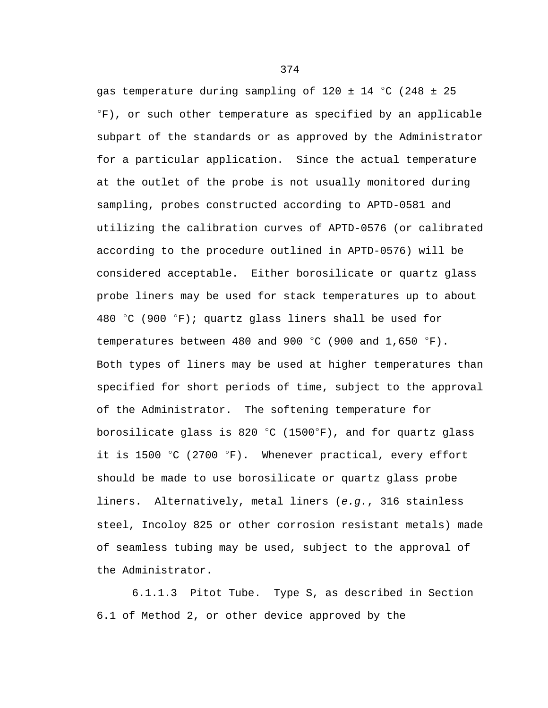gas temperature during sampling of  $120 \pm 14$  °C (248  $\pm$  25  $\Gamma$ F), or such other temperature as specified by an applicable subpart of the standards or as approved by the Administrator for a particular application. Since the actual temperature at the outlet of the probe is not usually monitored during sampling, probes constructed according to APTD-0581 and utilizing the calibration curves of APTD-0576 (or calibrated according to the procedure outlined in APTD-0576) will be considered acceptable. Either borosilicate or quartz glass probe liners may be used for stack temperatures up to about 480 °C (900 °F); quartz glass liners shall be used for temperatures between 480 and 900  $^{\circ}$ C (900 and 1,650  $^{\circ}$ F). Both types of liners may be used at higher temperatures than specified for short periods of time, subject to the approval of the Administrator. The softening temperature for borosilicate glass is 820 °C (1500°F), and for quartz glass it is 1500  $\degree$ C (2700  $\degree$ F). Whenever practical, every effort should be made to use borosilicate or quartz glass probe liners. Alternatively, metal liners (*e.g.*, 316 stainless steel, Incoloy 825 or other corrosion resistant metals) made of seamless tubing may be used, subject to the approval of the Administrator.

6.1.1.3 Pitot Tube. Type S, as described in Section 6.1 of Method 2, or other device approved by the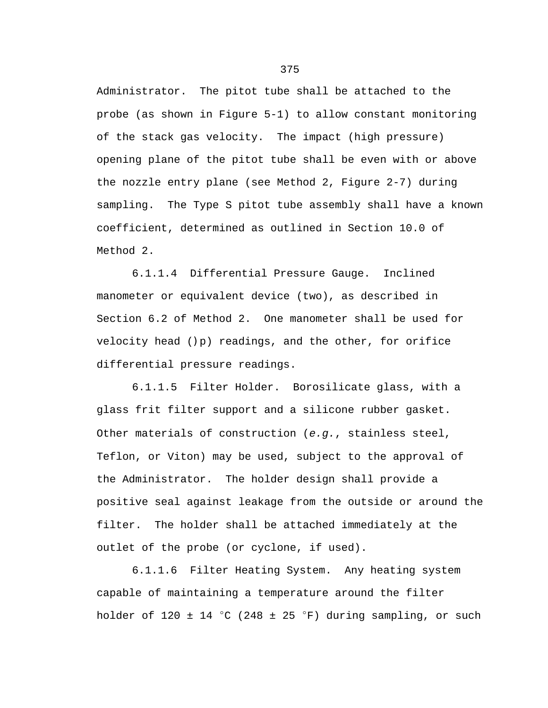Administrator. The pitot tube shall be attached to the probe (as shown in Figure 5-1) to allow constant monitoring of the stack gas velocity. The impact (high pressure) opening plane of the pitot tube shall be even with or above the nozzle entry plane (see Method 2, Figure 2-7) during sampling. The Type S pitot tube assembly shall have a known coefficient, determined as outlined in Section 10.0 of Method 2.

6.1.1.4 Differential Pressure Gauge. Inclined manometer or equivalent device (two), as described in Section 6.2 of Method 2. One manometer shall be used for velocity head ()p) readings, and the other, for orifice differential pressure readings.

6.1.1.5 Filter Holder. Borosilicate glass, with a glass frit filter support and a silicone rubber gasket. Other materials of construction (*e.g.*, stainless steel, Teflon, or Viton) may be used, subject to the approval of the Administrator. The holder design shall provide a positive seal against leakage from the outside or around the filter. The holder shall be attached immediately at the outlet of the probe (or cyclone, if used).

6.1.1.6 Filter Heating System. Any heating system capable of maintaining a temperature around the filter holder of 120  $\pm$  14 °C (248  $\pm$  25 °F) during sampling, or such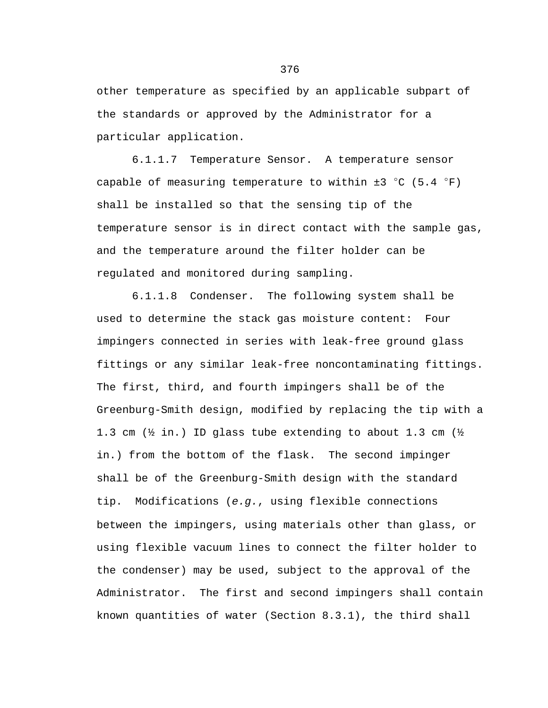other temperature as specified by an applicable subpart of the standards or approved by the Administrator for a particular application.

6.1.1.7 Temperature Sensor. A temperature sensor capable of measuring temperature to within  $\pm 3$  °C (5.4 °F) shall be installed so that the sensing tip of the temperature sensor is in direct contact with the sample gas, and the temperature around the filter holder can be regulated and monitored during sampling.

6.1.1.8 Condenser. The following system shall be used to determine the stack gas moisture content: Four impingers connected in series with leak-free ground glass fittings or any similar leak-free noncontaminating fittings. The first, third, and fourth impingers shall be of the Greenburg-Smith design, modified by replacing the tip with a 1.3 cm (½ in.) ID glass tube extending to about 1.3 cm (½ in.) from the bottom of the flask. The second impinger shall be of the Greenburg-Smith design with the standard tip. Modifications (*e.g.*, using flexible connections between the impingers, using materials other than glass, or using flexible vacuum lines to connect the filter holder to the condenser) may be used, subject to the approval of the Administrator. The first and second impingers shall contain known quantities of water (Section 8.3.1), the third shall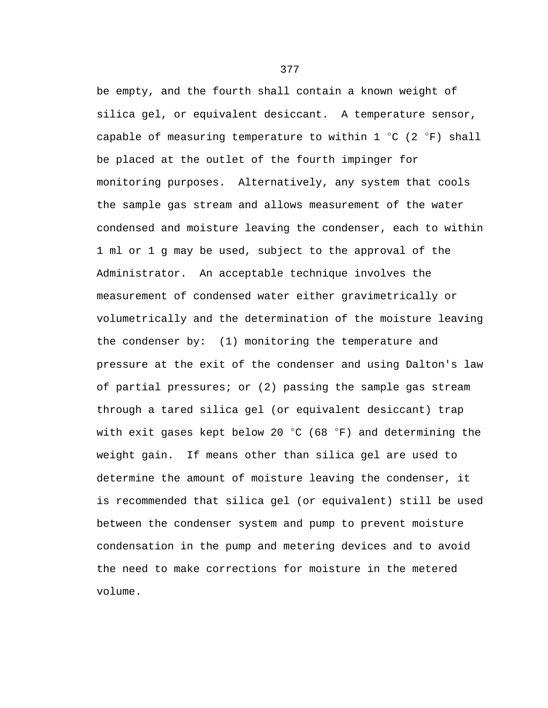be empty, and the fourth shall contain a known weight of silica gel, or equivalent desiccant. A temperature sensor, capable of measuring temperature to within  $1 °C$  (2  $°F$ ) shall be placed at the outlet of the fourth impinger for monitoring purposes. Alternatively, any system that cools the sample gas stream and allows measurement of the water condensed and moisture leaving the condenser, each to within 1 ml or 1 g may be used, subject to the approval of the Administrator. An acceptable technique involves the measurement of condensed water either gravimetrically or volumetrically and the determination of the moisture leaving the condenser by: (1) monitoring the temperature and pressure at the exit of the condenser and using Dalton's law of partial pressures; or (2) passing the sample gas stream through a tared silica gel (or equivalent desiccant) trap with exit gases kept below 20  $^{\circ}$ C (68  $^{\circ}$ F) and determining the weight gain. If means other than silica gel are used to determine the amount of moisture leaving the condenser, it is recommended that silica gel (or equivalent) still be used between the condenser system and pump to prevent moisture condensation in the pump and metering devices and to avoid the need to make corrections for moisture in the metered volume.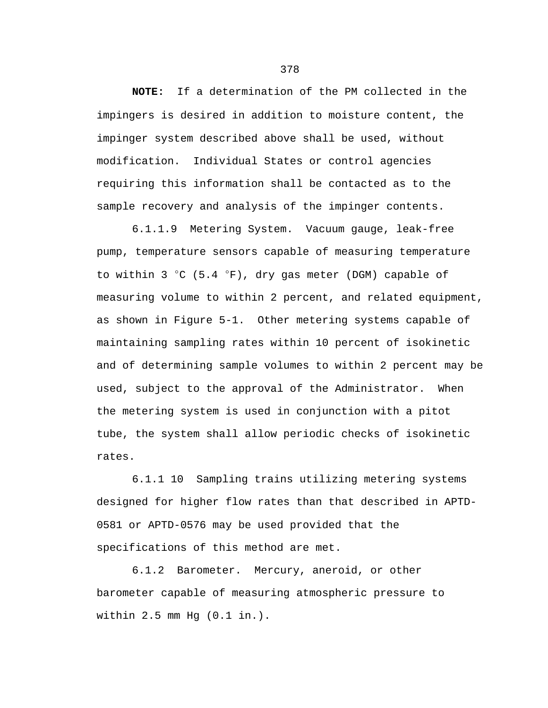**NOTE:** If a determination of the PM collected in the impingers is desired in addition to moisture content, the impinger system described above shall be used, without modification. Individual States or control agencies requiring this information shall be contacted as to the sample recovery and analysis of the impinger contents.

6.1.1.9 Metering System. Vacuum gauge, leak-free pump, temperature sensors capable of measuring temperature to within 3  $°C$  (5.4  $°F$ ), dry gas meter (DGM) capable of measuring volume to within 2 percent, and related equipment, as shown in Figure 5-1. Other metering systems capable of maintaining sampling rates within 10 percent of isokinetic and of determining sample volumes to within 2 percent may be used, subject to the approval of the Administrator. When the metering system is used in conjunction with a pitot tube, the system shall allow periodic checks of isokinetic rates.

6.1.1 10 Sampling trains utilizing metering systems designed for higher flow rates than that described in APTD-0581 or APTD-0576 may be used provided that the specifications of this method are met.

6.1.2 Barometer. Mercury, aneroid, or other barometer capable of measuring atmospheric pressure to within 2.5 mm Hg (0.1 in.).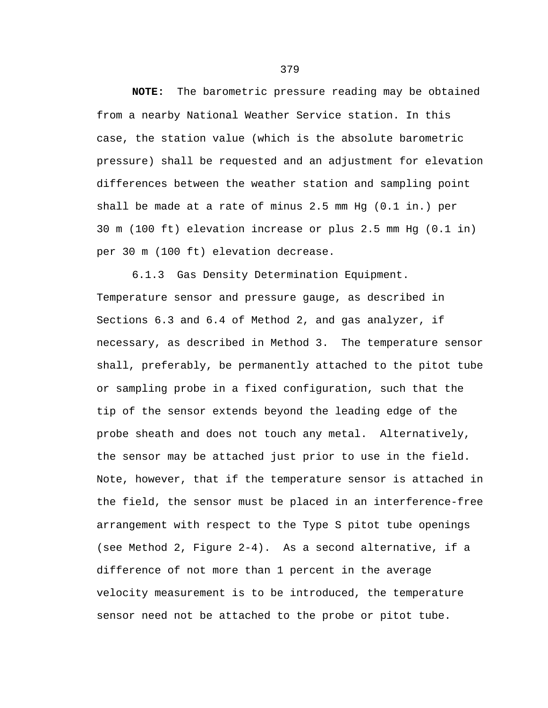**NOTE:** The barometric pressure reading may be obtained from a nearby National Weather Service station. In this case, the station value (which is the absolute barometric pressure) shall be requested and an adjustment for elevation differences between the weather station and sampling point shall be made at a rate of minus 2.5 mm Hg (0.1 in.) per 30 m (100 ft) elevation increase or plus 2.5 mm Hg (0.1 in) per 30 m (100 ft) elevation decrease.

6.1.3 Gas Density Determination Equipment. Temperature sensor and pressure gauge, as described in Sections 6.3 and 6.4 of Method 2, and gas analyzer, if necessary, as described in Method 3. The temperature sensor shall, preferably, be permanently attached to the pitot tube or sampling probe in a fixed configuration, such that the tip of the sensor extends beyond the leading edge of the probe sheath and does not touch any metal. Alternatively, the sensor may be attached just prior to use in the field. Note, however, that if the temperature sensor is attached in the field, the sensor must be placed in an interference-free arrangement with respect to the Type S pitot tube openings (see Method 2, Figure 2-4). As a second alternative, if a difference of not more than 1 percent in the average velocity measurement is to be introduced, the temperature sensor need not be attached to the probe or pitot tube.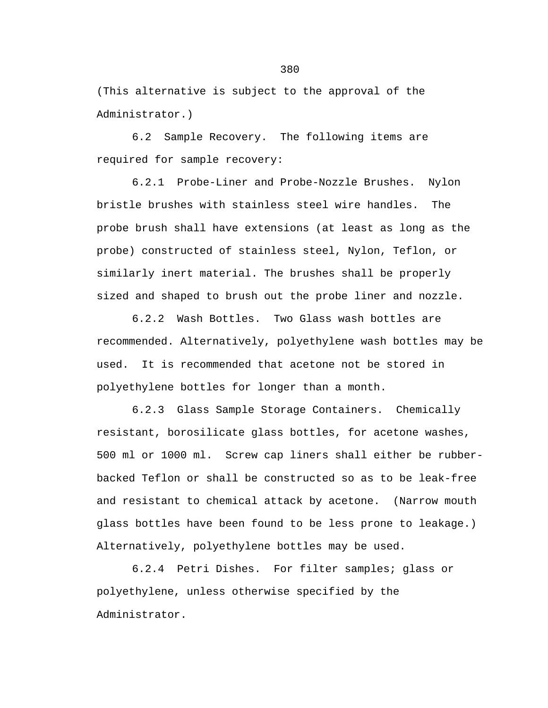(This alternative is subject to the approval of the Administrator.)

6.2 Sample Recovery. The following items are required for sample recovery:

6.2.1 Probe-Liner and Probe-Nozzle Brushes. Nylon bristle brushes with stainless steel wire handles. The probe brush shall have extensions (at least as long as the probe) constructed of stainless steel, Nylon, Teflon, or similarly inert material. The brushes shall be properly sized and shaped to brush out the probe liner and nozzle.

6.2.2 Wash Bottles. Two Glass wash bottles are recommended. Alternatively, polyethylene wash bottles may be used. It is recommended that acetone not be stored in polyethylene bottles for longer than a month.

6.2.3 Glass Sample Storage Containers. Chemically resistant, borosilicate glass bottles, for acetone washes, 500 ml or 1000 ml. Screw cap liners shall either be rubberbacked Teflon or shall be constructed so as to be leak-free and resistant to chemical attack by acetone. (Narrow mouth glass bottles have been found to be less prone to leakage.) Alternatively, polyethylene bottles may be used.

6.2.4 Petri Dishes. For filter samples; glass or polyethylene, unless otherwise specified by the Administrator.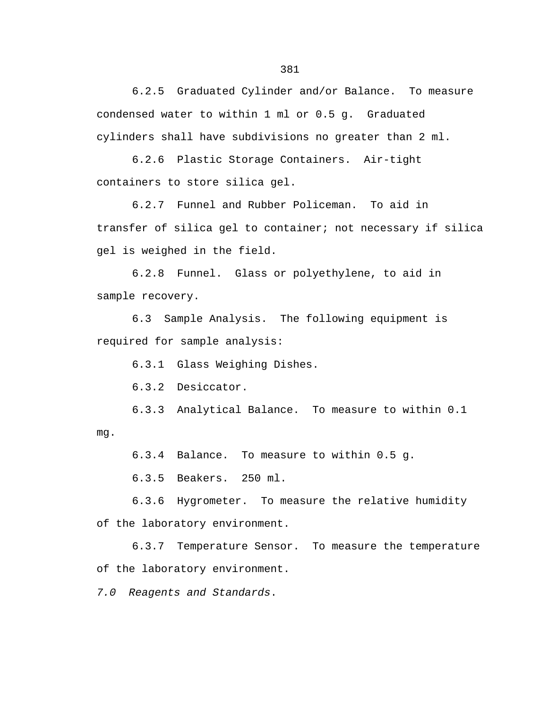6.2.5 Graduated Cylinder and/or Balance. To measure condensed water to within 1 ml or 0.5 g. Graduated cylinders shall have subdivisions no greater than 2 ml.

6.2.6 Plastic Storage Containers. Air-tight containers to store silica gel.

6.2.7 Funnel and Rubber Policeman. To aid in transfer of silica gel to container; not necessary if silica gel is weighed in the field.

6.2.8 Funnel. Glass or polyethylene, to aid in sample recovery.

6.3 Sample Analysis. The following equipment is required for sample analysis:

6.3.1 Glass Weighing Dishes.

6.3.2 Desiccator.

6.3.3 Analytical Balance. To measure to within 0.1 mg.

6.3.4 Balance. To measure to within 0.5 g.

6.3.5 Beakers. 250 ml.

6.3.6 Hygrometer. To measure the relative humidity of the laboratory environment.

6.3.7 Temperature Sensor. To measure the temperature of the laboratory environment.

*7.0 Reagents and Standards*.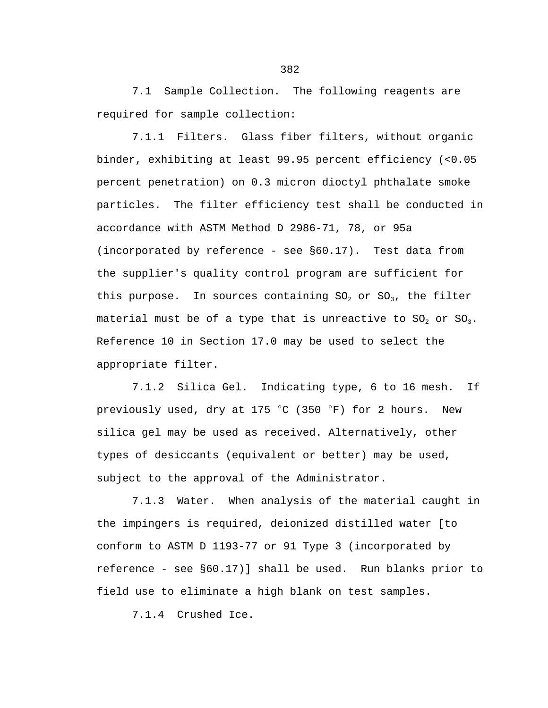7.1 Sample Collection. The following reagents are required for sample collection:

7.1.1 Filters. Glass fiber filters, without organic binder, exhibiting at least 99.95 percent efficiency (<0.05 percent penetration) on 0.3 micron dioctyl phthalate smoke particles. The filter efficiency test shall be conducted in accordance with ASTM Method D 2986-71, 78, or 95a (incorporated by reference - see §60.17). Test data from the supplier's quality control program are sufficient for this purpose. In sources containing  $SO_2$  or  $SO_3$ , the filter material must be of a type that is unreactive to  $SO_2$  or  $SO_3$ . Reference 10 in Section 17.0 may be used to select the appropriate filter.

7.1.2 Silica Gel. Indicating type, 6 to 16 mesh. If previously used, dry at 175  $^{\circ}$ C (350  $^{\circ}$ F) for 2 hours. New silica gel may be used as received. Alternatively, other types of desiccants (equivalent or better) may be used, subject to the approval of the Administrator.

7.1.3 Water. When analysis of the material caught in the impingers is required, deionized distilled water [to conform to ASTM D 1193-77 or 91 Type 3 (incorporated by reference - see §60.17)] shall be used. Run blanks prior to field use to eliminate a high blank on test samples.

7.1.4 Crushed Ice.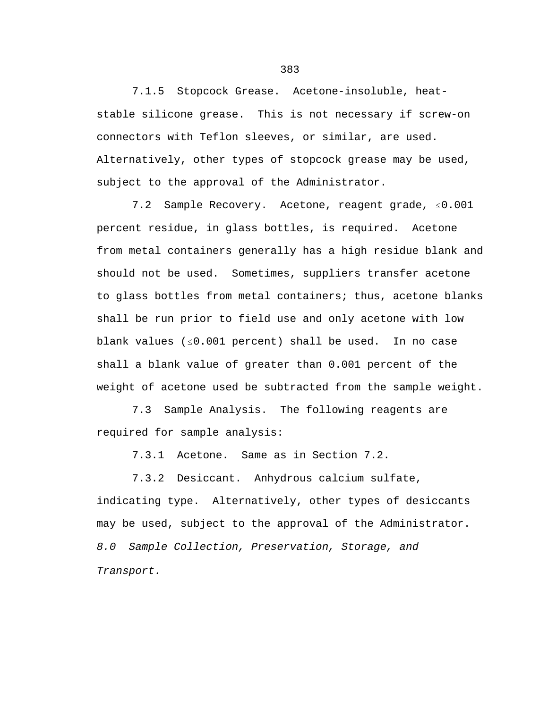7.1.5 Stopcock Grease. Acetone-insoluble, heatstable silicone grease. This is not necessary if screw-on connectors with Teflon sleeves, or similar, are used. Alternatively, other types of stopcock grease may be used, subject to the approval of the Administrator.

7.2 Sample Recovery. Acetone, reagent grade,  $\leq 0.001$ percent residue, in glass bottles, is required. Acetone from metal containers generally has a high residue blank and should not be used. Sometimes, suppliers transfer acetone to glass bottles from metal containers; thus, acetone blanks shall be run prior to field use and only acetone with low blank values  $( \le 0.001$  percent) shall be used. In no case shall a blank value of greater than 0.001 percent of the weight of acetone used be subtracted from the sample weight.

7.3 Sample Analysis. The following reagents are required for sample analysis:

7.3.1 Acetone. Same as in Section 7.2.

7.3.2 Desiccant. Anhydrous calcium sulfate,

indicating type. Alternatively, other types of desiccants may be used, subject to the approval of the Administrator. *8.0 Sample Collection, Preservation, Storage, and Transport.*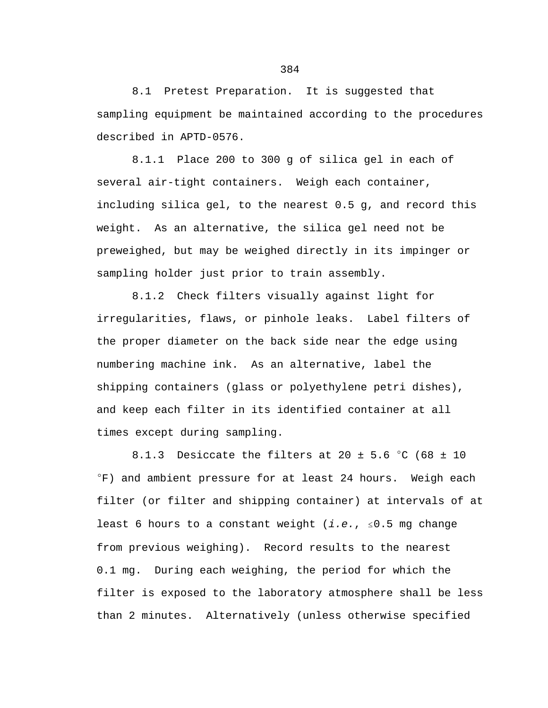8.1 Pretest Preparation. It is suggested that sampling equipment be maintained according to the procedures described in APTD-0576.

8.1.1 Place 200 to 300 g of silica gel in each of several air-tight containers. Weigh each container, including silica gel, to the nearest 0.5 g, and record this weight. As an alternative, the silica gel need not be preweighed, but may be weighed directly in its impinger or sampling holder just prior to train assembly.

8.1.2 Check filters visually against light for irregularities, flaws, or pinhole leaks. Label filters of the proper diameter on the back side near the edge using numbering machine ink. As an alternative, label the shipping containers (glass or polyethylene petri dishes), and keep each filter in its identified container at all times except during sampling.

8.1.3 Desiccate the filters at 20  $\pm$  5.6 °C (68  $\pm$  10  $\textdegree$ F) and ambient pressure for at least 24 hours. Weigh each filter (or filter and shipping container) at intervals of at least 6 hours to a constant weight  $(i.e., s0.5$  mg change from previous weighing). Record results to the nearest 0.1 mg. During each weighing, the period for which the filter is exposed to the laboratory atmosphere shall be less than 2 minutes. Alternatively (unless otherwise specified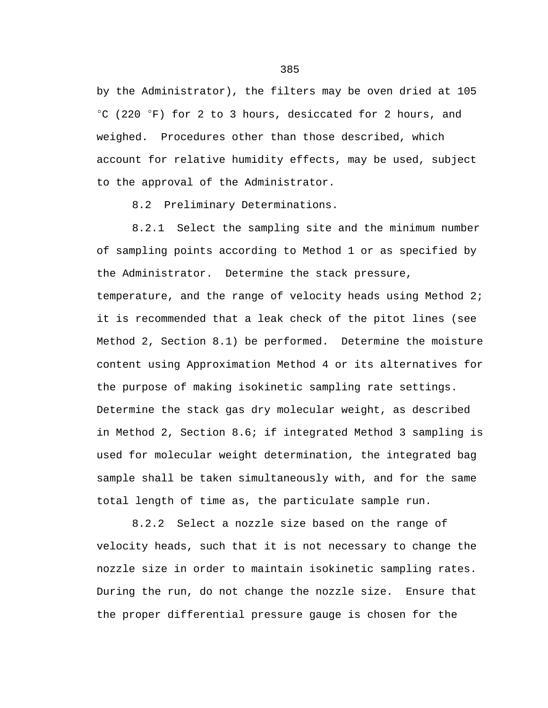by the Administrator), the filters may be oven dried at 105  $^{\circ}$ C (220  $^{\circ}$ F) for 2 to 3 hours, desiccated for 2 hours, and weighed. Procedures other than those described, which account for relative humidity effects, may be used, subject to the approval of the Administrator.

8.2 Preliminary Determinations.

8.2.1 Select the sampling site and the minimum number of sampling points according to Method 1 or as specified by the Administrator. Determine the stack pressure,

temperature, and the range of velocity heads using Method 2; it is recommended that a leak check of the pitot lines (see Method 2, Section 8.1) be performed. Determine the moisture content using Approximation Method 4 or its alternatives for the purpose of making isokinetic sampling rate settings. Determine the stack gas dry molecular weight, as described in Method 2, Section 8.6; if integrated Method 3 sampling is used for molecular weight determination, the integrated bag sample shall be taken simultaneously with, and for the same total length of time as, the particulate sample run.

8.2.2 Select a nozzle size based on the range of velocity heads, such that it is not necessary to change the nozzle size in order to maintain isokinetic sampling rates. During the run, do not change the nozzle size. Ensure that the proper differential pressure gauge is chosen for the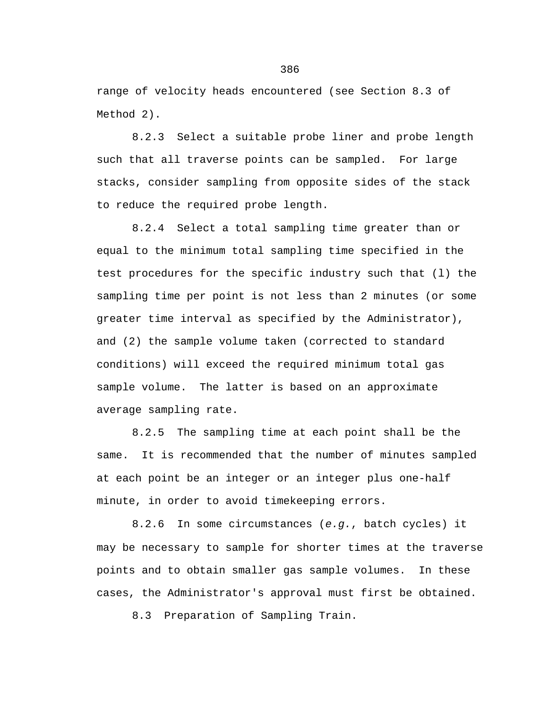range of velocity heads encountered (see Section 8.3 of Method 2).

8.2.3 Select a suitable probe liner and probe length such that all traverse points can be sampled. For large stacks, consider sampling from opposite sides of the stack to reduce the required probe length.

8.2.4 Select a total sampling time greater than or equal to the minimum total sampling time specified in the test procedures for the specific industry such that (l) the sampling time per point is not less than 2 minutes (or some greater time interval as specified by the Administrator), and (2) the sample volume taken (corrected to standard conditions) will exceed the required minimum total gas sample volume. The latter is based on an approximate average sampling rate.

8.2.5 The sampling time at each point shall be the same. It is recommended that the number of minutes sampled at each point be an integer or an integer plus one-half minute, in order to avoid timekeeping errors.

8.2.6 In some circumstances (*e.g.*, batch cycles) it may be necessary to sample for shorter times at the traverse points and to obtain smaller gas sample volumes. In these cases, the Administrator's approval must first be obtained.

8.3 Preparation of Sampling Train.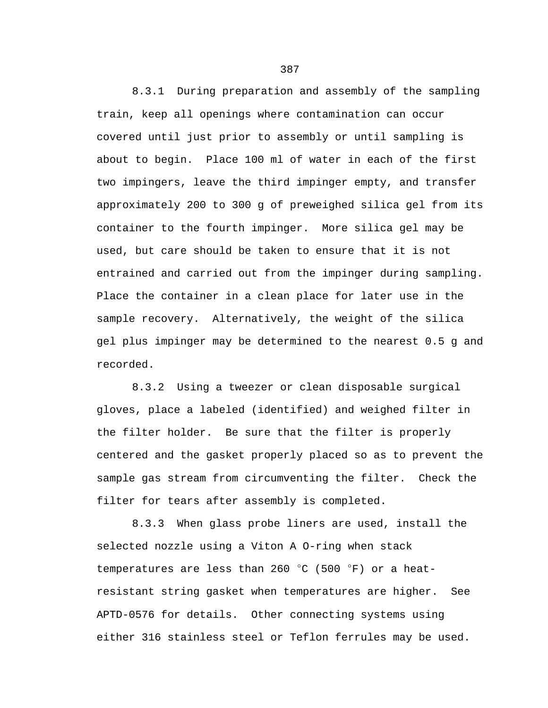8.3.1 During preparation and assembly of the sampling train, keep all openings where contamination can occur covered until just prior to assembly or until sampling is about to begin. Place 100 ml of water in each of the first two impingers, leave the third impinger empty, and transfer approximately 200 to 300 g of preweighed silica gel from its container to the fourth impinger. More silica gel may be used, but care should be taken to ensure that it is not entrained and carried out from the impinger during sampling. Place the container in a clean place for later use in the sample recovery. Alternatively, the weight of the silica gel plus impinger may be determined to the nearest 0.5 g and recorded.

8.3.2 Using a tweezer or clean disposable surgical gloves, place a labeled (identified) and weighed filter in the filter holder. Be sure that the filter is properly centered and the gasket properly placed so as to prevent the sample gas stream from circumventing the filter. Check the filter for tears after assembly is completed.

8.3.3 When glass probe liners are used, install the selected nozzle using a Viton A O-ring when stack temperatures are less than 260  $^{\circ}$ C (500  $^{\circ}$ F) or a heatresistant string gasket when temperatures are higher. See APTD-0576 for details. Other connecting systems using either 316 stainless steel or Teflon ferrules may be used.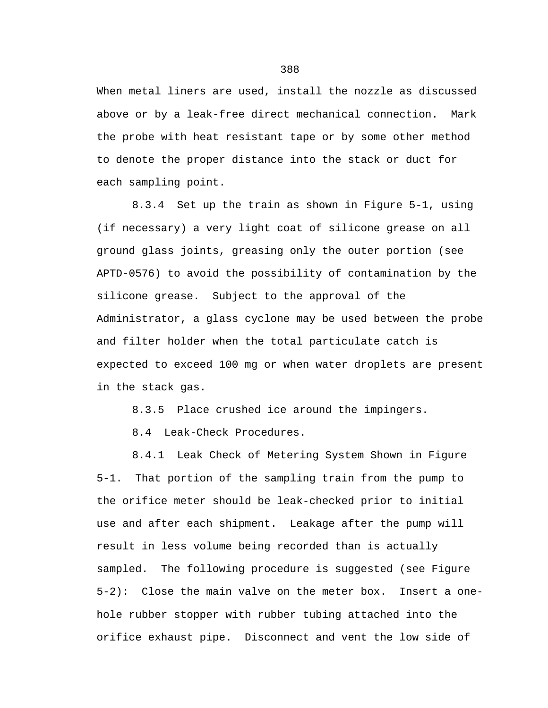When metal liners are used, install the nozzle as discussed above or by a leak-free direct mechanical connection. Mark the probe with heat resistant tape or by some other method to denote the proper distance into the stack or duct for each sampling point.

8.3.4 Set up the train as shown in Figure 5-1, using (if necessary) a very light coat of silicone grease on all ground glass joints, greasing only the outer portion (see APTD-0576) to avoid the possibility of contamination by the silicone grease. Subject to the approval of the Administrator, a glass cyclone may be used between the probe and filter holder when the total particulate catch is expected to exceed 100 mg or when water droplets are present in the stack gas.

8.3.5 Place crushed ice around the impingers.

8.4 Leak-Check Procedures.

8.4.1 Leak Check of Metering System Shown in Figure 5-1. That portion of the sampling train from the pump to the orifice meter should be leak-checked prior to initial use and after each shipment. Leakage after the pump will result in less volume being recorded than is actually sampled. The following procedure is suggested (see Figure 5-2): Close the main valve on the meter box. Insert a onehole rubber stopper with rubber tubing attached into the orifice exhaust pipe. Disconnect and vent the low side of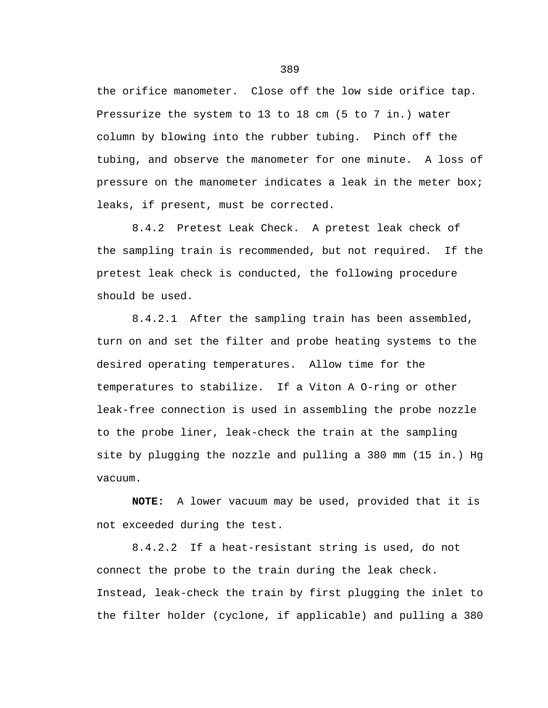the orifice manometer. Close off the low side orifice tap. Pressurize the system to 13 to 18 cm (5 to 7 in.) water column by blowing into the rubber tubing. Pinch off the tubing, and observe the manometer for one minute. A loss of pressure on the manometer indicates a leak in the meter box; leaks, if present, must be corrected.

8.4.2 Pretest Leak Check. A pretest leak check of the sampling train is recommended, but not required. If the pretest leak check is conducted, the following procedure should be used.

8.4.2.1 After the sampling train has been assembled, turn on and set the filter and probe heating systems to the desired operating temperatures. Allow time for the temperatures to stabilize. If a Viton A O-ring or other leak-free connection is used in assembling the probe nozzle to the probe liner, leak-check the train at the sampling site by plugging the nozzle and pulling a 380 mm (15 in.) Hg vacuum.

**NOTE:** A lower vacuum may be used, provided that it is not exceeded during the test.

8.4.2.2 If a heat-resistant string is used, do not connect the probe to the train during the leak check. Instead, leak-check the train by first plugging the inlet to the filter holder (cyclone, if applicable) and pulling a 380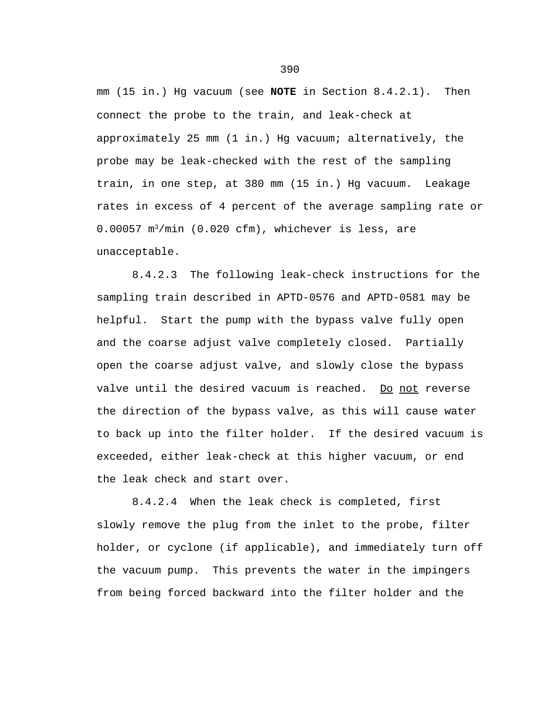mm (15 in.) Hg vacuum (see **NOTE** in Section 8.4.2.1). Then connect the probe to the train, and leak-check at approximately 25 mm (1 in.) Hg vacuum; alternatively, the probe may be leak-checked with the rest of the sampling train, in one step, at 380 mm (15 in.) Hg vacuum. Leakage rates in excess of 4 percent of the average sampling rate or  $0.00057$  m<sup>3</sup>/min (0.020 cfm), whichever is less, are unacceptable.

8.4.2.3 The following leak-check instructions for the sampling train described in APTD-0576 and APTD-0581 may be helpful. Start the pump with the bypass valve fully open and the coarse adjust valve completely closed. Partially open the coarse adjust valve, and slowly close the bypass valve until the desired vacuum is reached. Do not reverse the direction of the bypass valve, as this will cause water to back up into the filter holder. If the desired vacuum is exceeded, either leak-check at this higher vacuum, or end the leak check and start over.

8.4.2.4 When the leak check is completed, first slowly remove the plug from the inlet to the probe, filter holder, or cyclone (if applicable), and immediately turn off the vacuum pump. This prevents the water in the impingers from being forced backward into the filter holder and the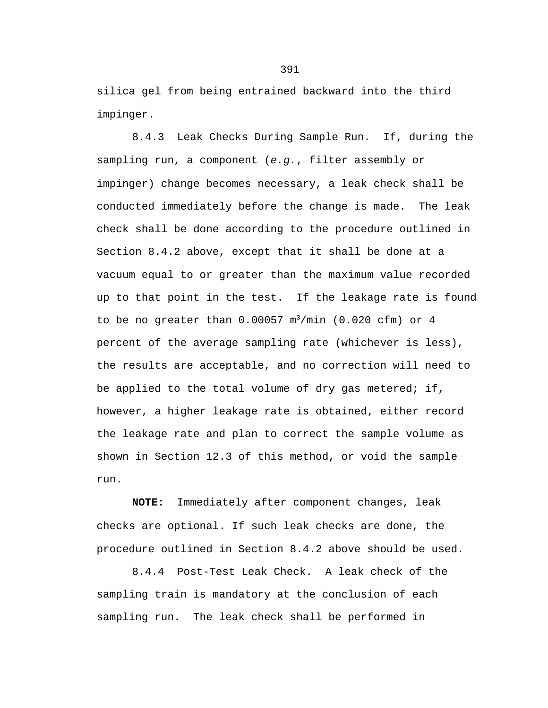silica gel from being entrained backward into the third impinger.

8.4.3 Leak Checks During Sample Run. If, during the sampling run, a component (*e.g.*, filter assembly or impinger) change becomes necessary, a leak check shall be conducted immediately before the change is made. The leak check shall be done according to the procedure outlined in Section 8.4.2 above, except that it shall be done at a vacuum equal to or greater than the maximum value recorded up to that point in the test. If the leakage rate is found to be no greater than  $0.00057$  m<sup>3</sup>/min (0.020 cfm) or 4 percent of the average sampling rate (whichever is less), the results are acceptable, and no correction will need to be applied to the total volume of dry gas metered; if, however, a higher leakage rate is obtained, either record the leakage rate and plan to correct the sample volume as shown in Section 12.3 of this method, or void the sample run.

**NOTE:** Immediately after component changes, leak checks are optional. If such leak checks are done, the procedure outlined in Section 8.4.2 above should be used.

8.4.4 Post-Test Leak Check. A leak check of the sampling train is mandatory at the conclusion of each sampling run. The leak check shall be performed in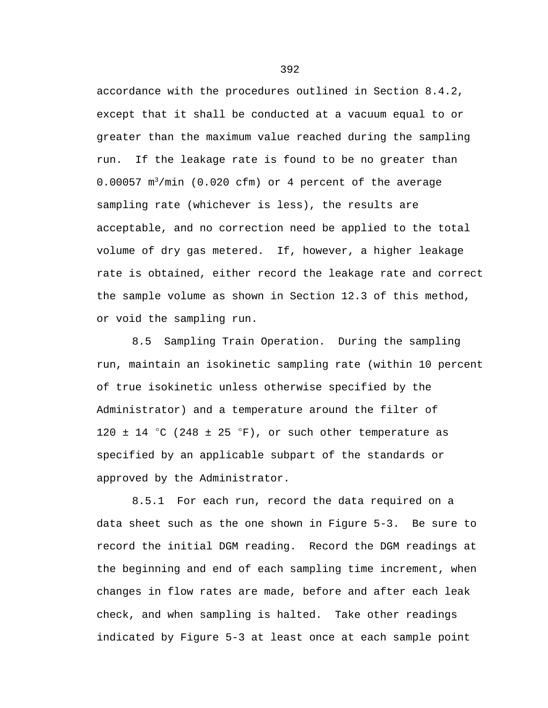accordance with the procedures outlined in Section 8.4.2, except that it shall be conducted at a vacuum equal to or greater than the maximum value reached during the sampling run. If the leakage rate is found to be no greater than  $0.00057$  m<sup>3</sup>/min (0.020 cfm) or 4 percent of the average sampling rate (whichever is less), the results are acceptable, and no correction need be applied to the total volume of dry gas metered. If, however, a higher leakage rate is obtained, either record the leakage rate and correct the sample volume as shown in Section 12.3 of this method, or void the sampling run.

8.5 Sampling Train Operation. During the sampling run, maintain an isokinetic sampling rate (within 10 percent of true isokinetic unless otherwise specified by the Administrator) and a temperature around the filter of 120  $\pm$  14 °C (248  $\pm$  25 °F), or such other temperature as specified by an applicable subpart of the standards or approved by the Administrator.

8.5.1 For each run, record the data required on a data sheet such as the one shown in Figure 5-3. Be sure to record the initial DGM reading. Record the DGM readings at the beginning and end of each sampling time increment, when changes in flow rates are made, before and after each leak check, and when sampling is halted. Take other readings indicated by Figure 5-3 at least once at each sample point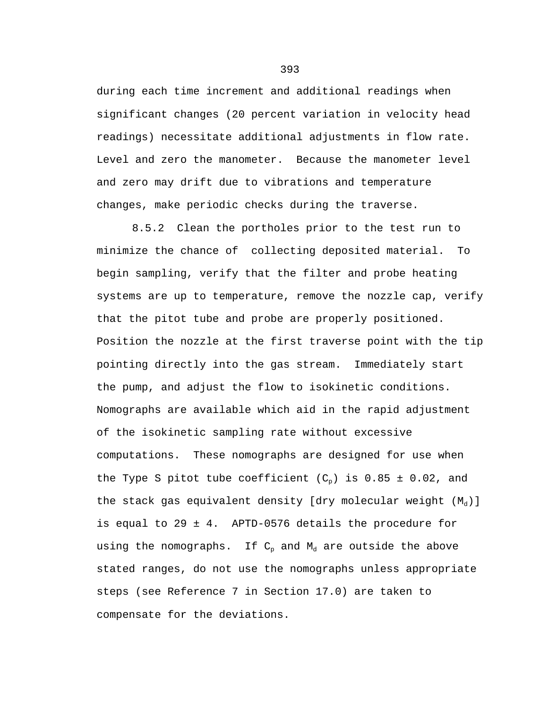during each time increment and additional readings when significant changes (20 percent variation in velocity head readings) necessitate additional adjustments in flow rate. Level and zero the manometer. Because the manometer level and zero may drift due to vibrations and temperature changes, make periodic checks during the traverse.

8.5.2 Clean the portholes prior to the test run to minimize the chance of collecting deposited material. To begin sampling, verify that the filter and probe heating systems are up to temperature, remove the nozzle cap, verify that the pitot tube and probe are properly positioned. Position the nozzle at the first traverse point with the tip pointing directly into the gas stream. Immediately start the pump, and adjust the flow to isokinetic conditions. Nomographs are available which aid in the rapid adjustment of the isokinetic sampling rate without excessive computations. These nomographs are designed for use when the Type S pitot tube coefficient  $(C_n)$  is 0.85 ± 0.02, and the stack gas equivalent density [dry molecular weight  $(M_d)$ ] is equal to 29 ± 4. APTD-0576 details the procedure for using the nomographs. If  $C_p$  and  $M_d$  are outside the above stated ranges, do not use the nomographs unless appropriate steps (see Reference 7 in Section 17.0) are taken to compensate for the deviations.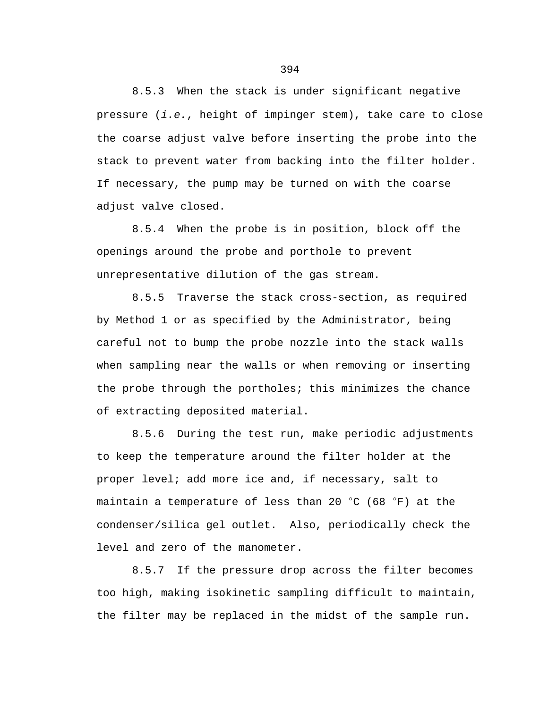8.5.3 When the stack is under significant negative pressure (*i.e.*, height of impinger stem), take care to close the coarse adjust valve before inserting the probe into the stack to prevent water from backing into the filter holder. If necessary, the pump may be turned on with the coarse adjust valve closed.

8.5.4 When the probe is in position, block off the openings around the probe and porthole to prevent unrepresentative dilution of the gas stream.

8.5.5 Traverse the stack cross-section, as required by Method 1 or as specified by the Administrator, being careful not to bump the probe nozzle into the stack walls when sampling near the walls or when removing or inserting the probe through the portholes; this minimizes the chance of extracting deposited material.

8.5.6 During the test run, make periodic adjustments to keep the temperature around the filter holder at the proper level; add more ice and, if necessary, salt to maintain a temperature of less than 20  $^{\circ}$ C (68  $^{\circ}$ F) at the condenser/silica gel outlet. Also, periodically check the level and zero of the manometer.

8.5.7 If the pressure drop across the filter becomes too high, making isokinetic sampling difficult to maintain, the filter may be replaced in the midst of the sample run.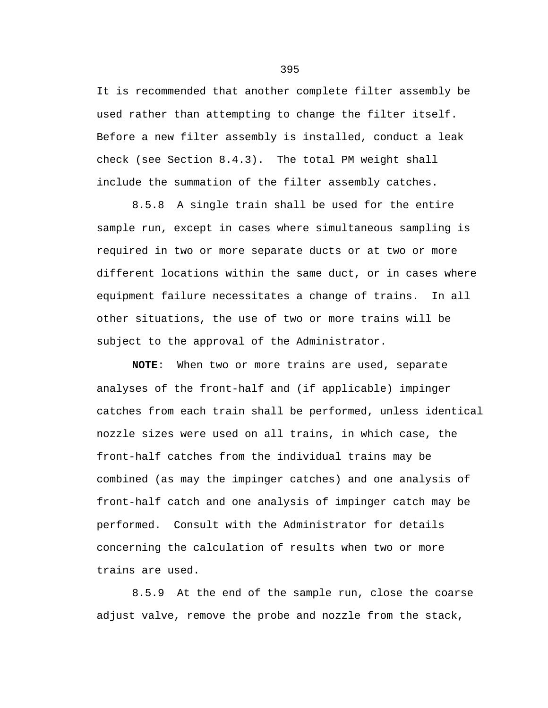It is recommended that another complete filter assembly be used rather than attempting to change the filter itself. Before a new filter assembly is installed, conduct a leak check (see Section 8.4.3). The total PM weight shall include the summation of the filter assembly catches.

8.5.8 A single train shall be used for the entire sample run, except in cases where simultaneous sampling is required in two or more separate ducts or at two or more different locations within the same duct, or in cases where equipment failure necessitates a change of trains. In all other situations, the use of two or more trains will be subject to the approval of the Administrator.

**NOTE**: When two or more trains are used, separate analyses of the front-half and (if applicable) impinger catches from each train shall be performed, unless identical nozzle sizes were used on all trains, in which case, the front-half catches from the individual trains may be combined (as may the impinger catches) and one analysis of front-half catch and one analysis of impinger catch may be performed. Consult with the Administrator for details concerning the calculation of results when two or more trains are used.

8.5.9 At the end of the sample run, close the coarse adjust valve, remove the probe and nozzle from the stack,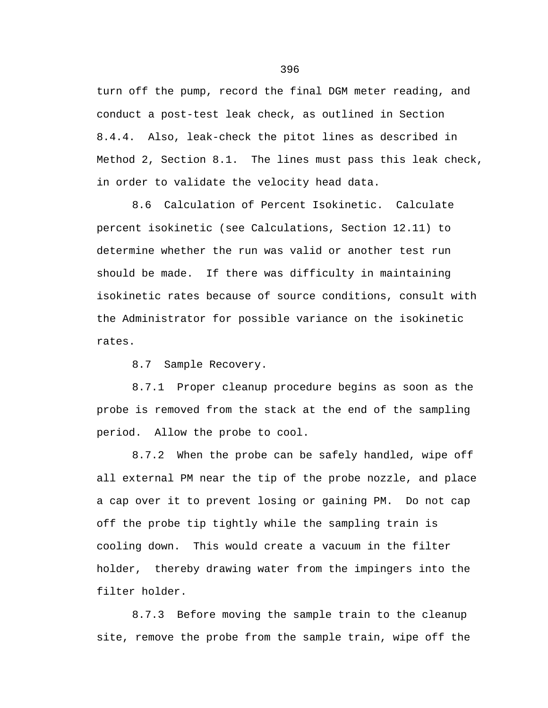turn off the pump, record the final DGM meter reading, and conduct a post-test leak check, as outlined in Section 8.4.4. Also, leak-check the pitot lines as described in Method 2, Section 8.1. The lines must pass this leak check, in order to validate the velocity head data.

8.6 Calculation of Percent Isokinetic. Calculate percent isokinetic (see Calculations, Section 12.11) to determine whether the run was valid or another test run should be made. If there was difficulty in maintaining isokinetic rates because of source conditions, consult with the Administrator for possible variance on the isokinetic rates.

8.7 Sample Recovery.

8.7.1 Proper cleanup procedure begins as soon as the probe is removed from the stack at the end of the sampling period. Allow the probe to cool.

8.7.2 When the probe can be safely handled, wipe off all external PM near the tip of the probe nozzle, and place a cap over it to prevent losing or gaining PM. Do not cap off the probe tip tightly while the sampling train is cooling down. This would create a vacuum in the filter holder, thereby drawing water from the impingers into the filter holder.

8.7.3 Before moving the sample train to the cleanup site, remove the probe from the sample train, wipe off the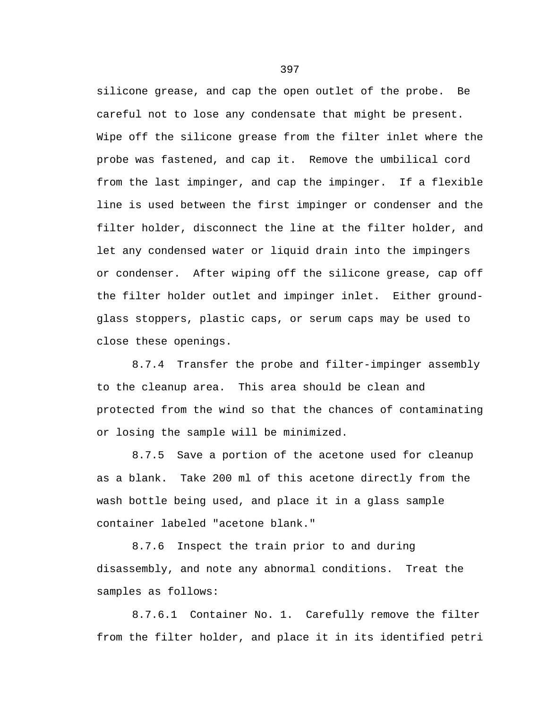silicone grease, and cap the open outlet of the probe. Be careful not to lose any condensate that might be present. Wipe off the silicone grease from the filter inlet where the probe was fastened, and cap it. Remove the umbilical cord from the last impinger, and cap the impinger. If a flexible line is used between the first impinger or condenser and the filter holder, disconnect the line at the filter holder, and let any condensed water or liquid drain into the impingers or condenser. After wiping off the silicone grease, cap off the filter holder outlet and impinger inlet. Either groundglass stoppers, plastic caps, or serum caps may be used to close these openings.

8.7.4 Transfer the probe and filter-impinger assembly to the cleanup area. This area should be clean and protected from the wind so that the chances of contaminating or losing the sample will be minimized.

8.7.5 Save a portion of the acetone used for cleanup as a blank. Take 200 ml of this acetone directly from the wash bottle being used, and place it in a glass sample container labeled "acetone blank."

8.7.6 Inspect the train prior to and during disassembly, and note any abnormal conditions. Treat the samples as follows:

8.7.6.1 Container No. 1. Carefully remove the filter from the filter holder, and place it in its identified petri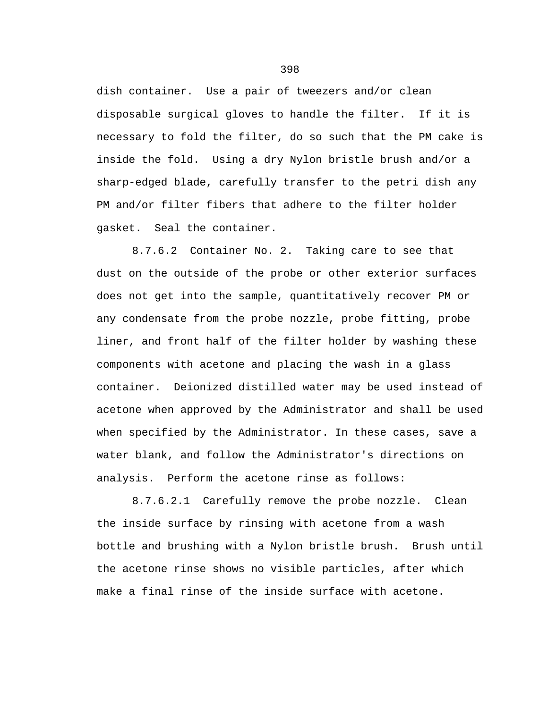dish container. Use a pair of tweezers and/or clean disposable surgical gloves to handle the filter. If it is necessary to fold the filter, do so such that the PM cake is inside the fold. Using a dry Nylon bristle brush and/or a sharp-edged blade, carefully transfer to the petri dish any PM and/or filter fibers that adhere to the filter holder gasket. Seal the container.

8.7.6.2 Container No. 2. Taking care to see that dust on the outside of the probe or other exterior surfaces does not get into the sample, quantitatively recover PM or any condensate from the probe nozzle, probe fitting, probe liner, and front half of the filter holder by washing these components with acetone and placing the wash in a glass container. Deionized distilled water may be used instead of acetone when approved by the Administrator and shall be used when specified by the Administrator. In these cases, save a water blank, and follow the Administrator's directions on analysis. Perform the acetone rinse as follows:

8.7.6.2.1 Carefully remove the probe nozzle. Clean the inside surface by rinsing with acetone from a wash bottle and brushing with a Nylon bristle brush. Brush until the acetone rinse shows no visible particles, after which make a final rinse of the inside surface with acetone.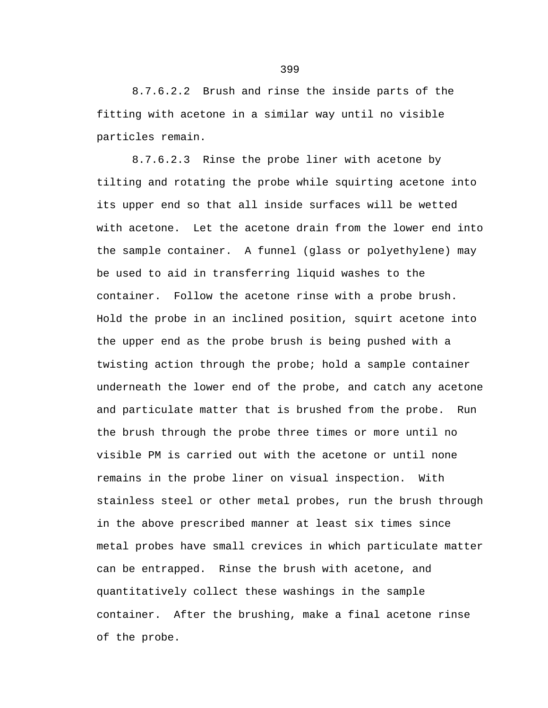8.7.6.2.2 Brush and rinse the inside parts of the fitting with acetone in a similar way until no visible particles remain.

8.7.6.2.3 Rinse the probe liner with acetone by tilting and rotating the probe while squirting acetone into its upper end so that all inside surfaces will be wetted with acetone. Let the acetone drain from the lower end into the sample container. A funnel (glass or polyethylene) may be used to aid in transferring liquid washes to the container. Follow the acetone rinse with a probe brush. Hold the probe in an inclined position, squirt acetone into the upper end as the probe brush is being pushed with a twisting action through the probe; hold a sample container underneath the lower end of the probe, and catch any acetone and particulate matter that is brushed from the probe. Run the brush through the probe three times or more until no visible PM is carried out with the acetone or until none remains in the probe liner on visual inspection. With stainless steel or other metal probes, run the brush through in the above prescribed manner at least six times since metal probes have small crevices in which particulate matter can be entrapped. Rinse the brush with acetone, and quantitatively collect these washings in the sample container. After the brushing, make a final acetone rinse of the probe.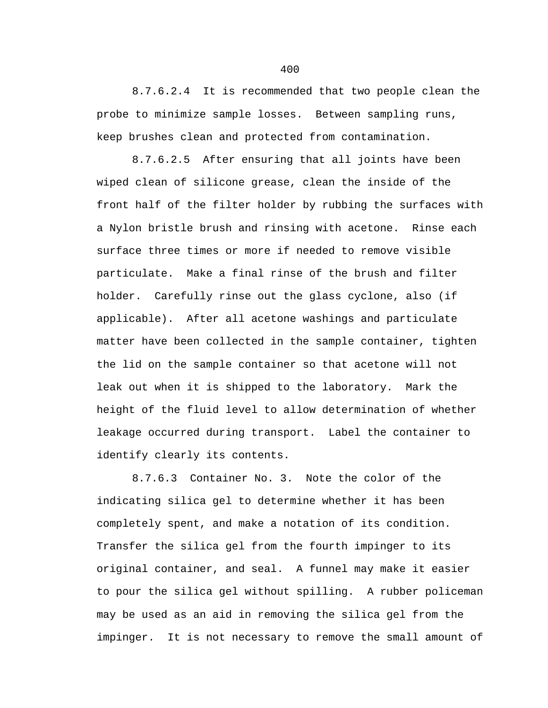8.7.6.2.4 It is recommended that two people clean the probe to minimize sample losses. Between sampling runs, keep brushes clean and protected from contamination.

8.7.6.2.5 After ensuring that all joints have been wiped clean of silicone grease, clean the inside of the front half of the filter holder by rubbing the surfaces with a Nylon bristle brush and rinsing with acetone. Rinse each surface three times or more if needed to remove visible particulate. Make a final rinse of the brush and filter holder. Carefully rinse out the glass cyclone, also (if applicable). After all acetone washings and particulate matter have been collected in the sample container, tighten the lid on the sample container so that acetone will not leak out when it is shipped to the laboratory. Mark the height of the fluid level to allow determination of whether leakage occurred during transport. Label the container to identify clearly its contents.

8.7.6.3 Container No. 3. Note the color of the indicating silica gel to determine whether it has been completely spent, and make a notation of its condition. Transfer the silica gel from the fourth impinger to its original container, and seal. A funnel may make it easier to pour the silica gel without spilling. A rubber policeman may be used as an aid in removing the silica gel from the impinger. It is not necessary to remove the small amount of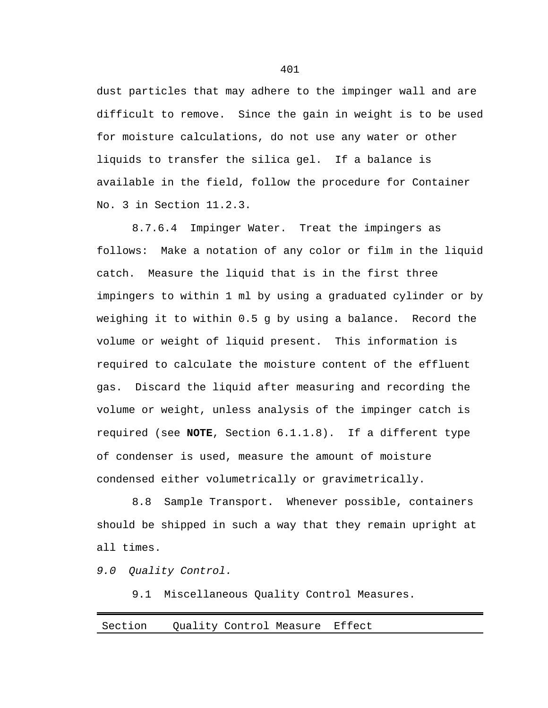dust particles that may adhere to the impinger wall and are difficult to remove. Since the gain in weight is to be used for moisture calculations, do not use any water or other liquids to transfer the silica gel. If a balance is available in the field, follow the procedure for Container No. 3 in Section 11.2.3.

8.7.6.4 Impinger Water. Treat the impingers as follows: Make a notation of any color or film in the liquid catch. Measure the liquid that is in the first three impingers to within 1 ml by using a graduated cylinder or by weighing it to within 0.5 g by using a balance. Record the volume or weight of liquid present. This information is required to calculate the moisture content of the effluent gas. Discard the liquid after measuring and recording the volume or weight, unless analysis of the impinger catch is required (see **NOTE**, Section 6.1.1.8). If a different type of condenser is used, measure the amount of moisture condensed either volumetrically or gravimetrically.

8.8 Sample Transport. Whenever possible, containers should be shipped in such a way that they remain upright at all times.

*9.0 Quality Control.*

9.1 Miscellaneous Quality Control Measures.

## Section Quality Control Measure Effect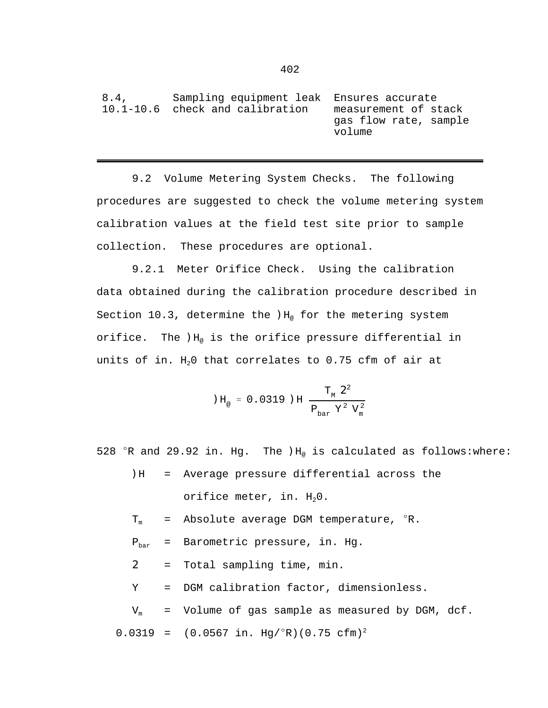| 8.4. | Sampling equipment leak Ensures accurate |                       |
|------|------------------------------------------|-----------------------|
|      | 10.1-10.6 check and calibration          | measurement of stack  |
|      |                                          | gas flow rate, sample |
|      |                                          | volume                |

9.2 Volume Metering System Checks. The following procedures are suggested to check the volume metering system calibration values at the field test site prior to sample collection. These procedures are optional.

9.2.1 Meter Orifice Check. Using the calibration data obtained during the calibration procedure described in Section 10.3, determine the  $H_{\varnothing}$  for the metering system orifice. The  $H_{\alpha}$  is the orifice pressure differential in units of in.  $H<sub>2</sub>0$  that correlates to 0.75 cfm of air at

$$
H_{\text{e}} = 0.0319 \text{ JH} \frac{T_{\text{m}} \text{2}^2}{P_{\text{bar}} Y^2 V_{\text{m}}^2}
$$

528  $\degree$ R and 29.92 in. Hg. The  $H_{\degree}$  is calculated as follows:where:

- )H = Average pressure differential across the orifice meter, in.  $H_2O$ .
- $T_m$  = Absolute average DGM temperature,  ${}^{\circ}R$ .
- $P_{bar}$  = Barometric pressure, in. Hg.
- 2 = Total sampling time, min.

Y = DGM calibration factor, dimensionless.

 $V_m$  = Volume of gas sample as measured by DGM,  $dcf.$  $0.0319 = (0.0567 \text{ in. Hg} / {}^{\circ}R)(0.75 \text{ cfm})^2$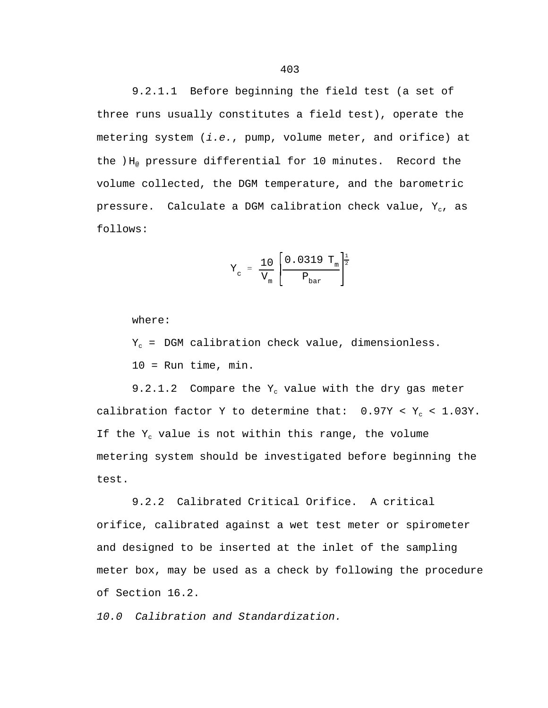9.2.1.1 Before beginning the field test (a set of three runs usually constitutes a field test), operate the metering system (*i.e.*, pump, volume meter, and orifice) at the  $H_{\odot}$  pressure differential for 10 minutes. Record the volume collected, the DGM temperature, and the barometric pressure. Calculate a DGM calibration check value,  $Y_c$ , as follows:

$$
Y_c = \frac{10}{V_m} \left[ \frac{0.0319 T_m}{P_{bar}} \right]^{\frac{1}{2}}
$$

where:

 $Y_c$  = DGM calibration check value, dimensionless. 10 = Run time, min.

9.2.1.2 Compare the  $Y_c$  value with the dry gas meter calibration factor Y to determine that:  $0.97Y < Y_c < 1.03Y$ . If the  $Y_c$  value is not within this range, the volume metering system should be investigated before beginning the test.

9.2.2 Calibrated Critical Orifice. A critical orifice, calibrated against a wet test meter or spirometer and designed to be inserted at the inlet of the sampling meter box, may be used as a check by following the procedure of Section 16.2.

*10.0 Calibration and Standardization.*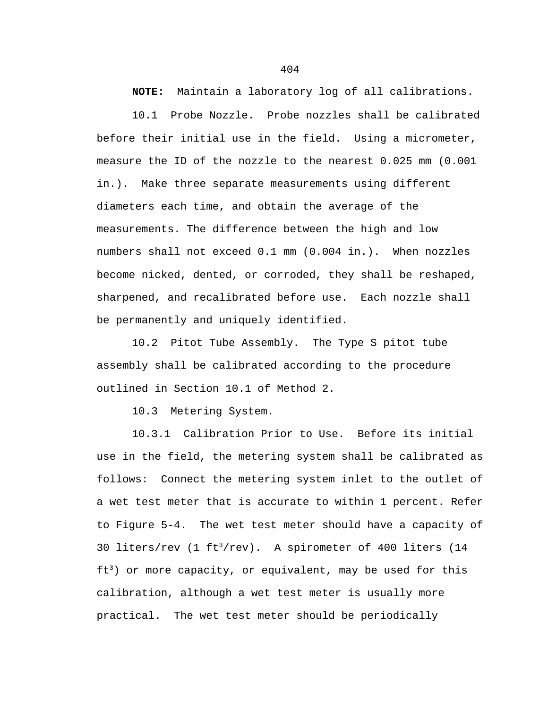**NOTE:** Maintain a laboratory log of all calibrations.

10.1 Probe Nozzle. Probe nozzles shall be calibrated before their initial use in the field. Using a micrometer, measure the ID of the nozzle to the nearest 0.025 mm (0.001 in.). Make three separate measurements using different diameters each time, and obtain the average of the measurements. The difference between the high and low numbers shall not exceed 0.1 mm (0.004 in.). When nozzles become nicked, dented, or corroded, they shall be reshaped, sharpened, and recalibrated before use. Each nozzle shall be permanently and uniquely identified.

10.2 Pitot Tube Assembly. The Type S pitot tube assembly shall be calibrated according to the procedure outlined in Section 10.1 of Method 2.

10.3 Metering System.

10.3.1 Calibration Prior to Use. Before its initial use in the field, the metering system shall be calibrated as follows: Connect the metering system inlet to the outlet of a wet test meter that is accurate to within 1 percent. Refer to Figure 5-4. The wet test meter should have a capacity of 30 liters/rev (1  $ft<sup>3</sup>/rev$ ). A spirometer of 400 liters (14  $ft<sup>3</sup>$ ) or more capacity, or equivalent, may be used for this calibration, although a wet test meter is usually more practical. The wet test meter should be periodically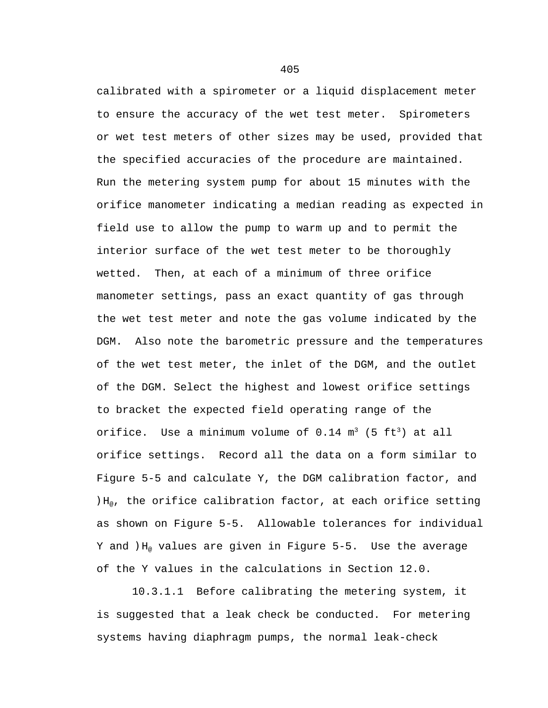calibrated with a spirometer or a liquid displacement meter to ensure the accuracy of the wet test meter. Spirometers or wet test meters of other sizes may be used, provided that the specified accuracies of the procedure are maintained. Run the metering system pump for about 15 minutes with the orifice manometer indicating a median reading as expected in field use to allow the pump to warm up and to permit the interior surface of the wet test meter to be thoroughly wetted. Then, at each of a minimum of three orifice manometer settings, pass an exact quantity of gas through the wet test meter and note the gas volume indicated by the DGM. Also note the barometric pressure and the temperatures of the wet test meter, the inlet of the DGM, and the outlet of the DGM. Select the highest and lowest orifice settings to bracket the expected field operating range of the orifice. Use a minimum volume of  $0.14$  m<sup>3</sup> (5 ft<sup>3</sup>) at all orifice settings. Record all the data on a form similar to Figure 5-5 and calculate Y, the DGM calibration factor, and  $H_{\varphi}$ , the orifice calibration factor, at each orifice setting as shown on Figure 5-5. Allowable tolerances for individual Y and  $H_{\varnothing}$  values are given in Figure 5-5. Use the average of the Y values in the calculations in Section 12.0.

10.3.1.1 Before calibrating the metering system, it is suggested that a leak check be conducted. For metering systems having diaphragm pumps, the normal leak-check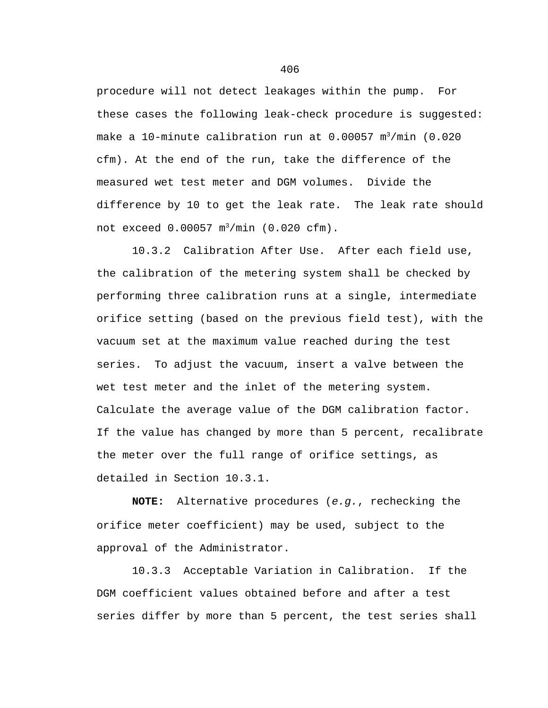procedure will not detect leakages within the pump. For these cases the following leak-check procedure is suggested: make a 10-minute calibration run at  $0.00057$  m<sup>3</sup>/min  $(0.020)$ cfm). At the end of the run, take the difference of the measured wet test meter and DGM volumes. Divide the difference by 10 to get the leak rate. The leak rate should not exceed 0.00057 m<sup>3</sup>/min (0.020 cfm).

10.3.2 Calibration After Use. After each field use, the calibration of the metering system shall be checked by performing three calibration runs at a single, intermediate orifice setting (based on the previous field test), with the vacuum set at the maximum value reached during the test series. To adjust the vacuum, insert a valve between the wet test meter and the inlet of the metering system. Calculate the average value of the DGM calibration factor. If the value has changed by more than 5 percent, recalibrate the meter over the full range of orifice settings, as detailed in Section 10.3.1.

**NOTE:** Alternative procedures (*e.g.*, rechecking the orifice meter coefficient) may be used, subject to the approval of the Administrator.

10.3.3 Acceptable Variation in Calibration. If the DGM coefficient values obtained before and after a test series differ by more than 5 percent, the test series shall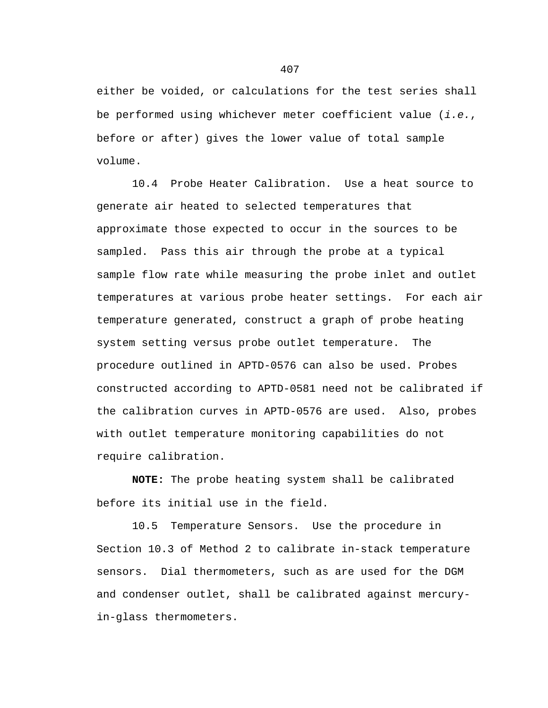either be voided, or calculations for the test series shall be performed using whichever meter coefficient value (*i.e.*, before or after) gives the lower value of total sample volume.

10.4 Probe Heater Calibration. Use a heat source to generate air heated to selected temperatures that approximate those expected to occur in the sources to be sampled. Pass this air through the probe at a typical sample flow rate while measuring the probe inlet and outlet temperatures at various probe heater settings. For each air temperature generated, construct a graph of probe heating system setting versus probe outlet temperature. The procedure outlined in APTD-0576 can also be used. Probes constructed according to APTD-0581 need not be calibrated if the calibration curves in APTD-0576 are used. Also, probes with outlet temperature monitoring capabilities do not require calibration.

**NOTE:** The probe heating system shall be calibrated before its initial use in the field.

10.5 Temperature Sensors. Use the procedure in Section 10.3 of Method 2 to calibrate in-stack temperature sensors. Dial thermometers, such as are used for the DGM and condenser outlet, shall be calibrated against mercuryin-glass thermometers.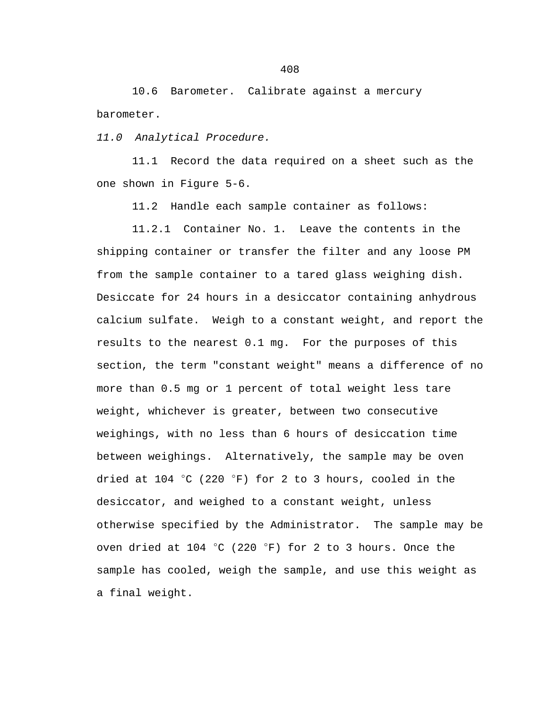10.6 Barometer. Calibrate against a mercury barometer.

*11.0 Analytical Procedure.*

11.1 Record the data required on a sheet such as the one shown in Figure 5-6.

11.2 Handle each sample container as follows:

11.2.1 Container No. 1. Leave the contents in the shipping container or transfer the filter and any loose PM from the sample container to a tared glass weighing dish. Desiccate for 24 hours in a desiccator containing anhydrous calcium sulfate. Weigh to a constant weight, and report the results to the nearest 0.1 mg. For the purposes of this section, the term "constant weight" means a difference of no more than 0.5 mg or 1 percent of total weight less tare weight, whichever is greater, between two consecutive weighings, with no less than 6 hours of desiccation time between weighings. Alternatively, the sample may be oven dried at 104  $^{\circ}$ C (220  $^{\circ}$ F) for 2 to 3 hours, cooled in the desiccator, and weighed to a constant weight, unless otherwise specified by the Administrator. The sample may be oven dried at 104 °C (220 °F) for 2 to 3 hours. Once the sample has cooled, weigh the sample, and use this weight as a final weight.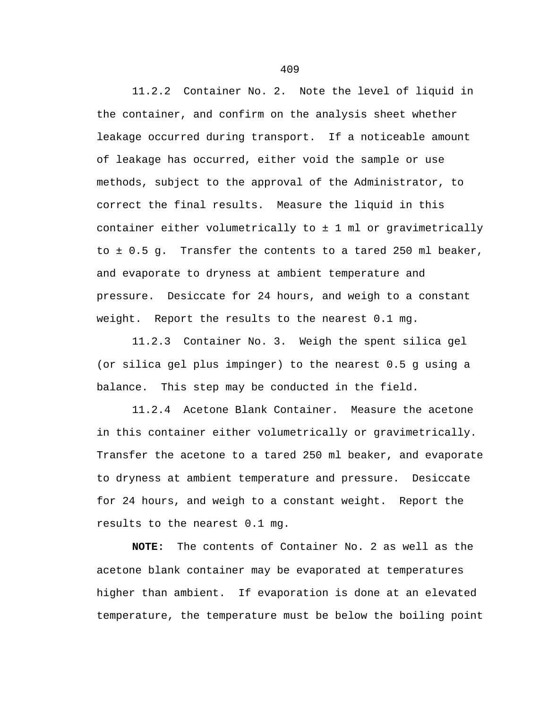11.2.2 Container No. 2. Note the level of liquid in the container, and confirm on the analysis sheet whether leakage occurred during transport. If a noticeable amount of leakage has occurred, either void the sample or use methods, subject to the approval of the Administrator, to correct the final results. Measure the liquid in this container either volumetrically to ± 1 ml or gravimetrically to ± 0.5 g. Transfer the contents to a tared 250 ml beaker, and evaporate to dryness at ambient temperature and pressure. Desiccate for 24 hours, and weigh to a constant weight. Report the results to the nearest 0.1 mg.

11.2.3 Container No. 3. Weigh the spent silica gel (or silica gel plus impinger) to the nearest 0.5 g using a balance. This step may be conducted in the field.

11.2.4 Acetone Blank Container. Measure the acetone in this container either volumetrically or gravimetrically. Transfer the acetone to a tared 250 ml beaker, and evaporate to dryness at ambient temperature and pressure. Desiccate for 24 hours, and weigh to a constant weight. Report the results to the nearest 0.1 mg.

**NOTE:** The contents of Container No. 2 as well as the acetone blank container may be evaporated at temperatures higher than ambient. If evaporation is done at an elevated temperature, the temperature must be below the boiling point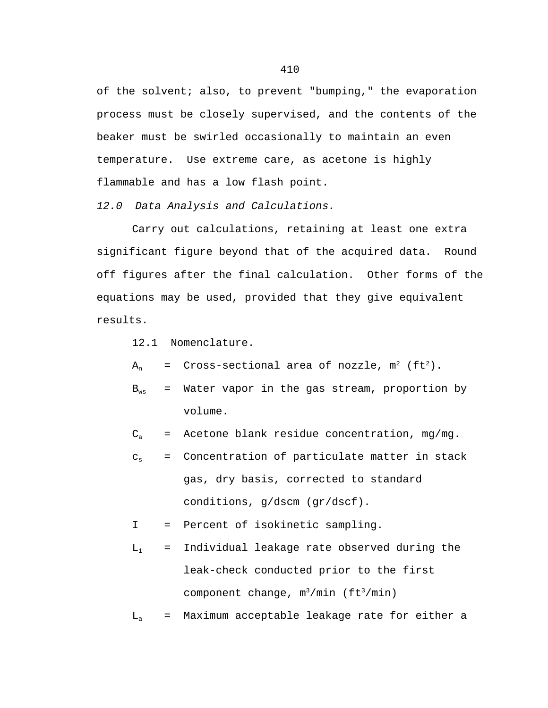of the solvent; also, to prevent "bumping," the evaporation process must be closely supervised, and the contents of the beaker must be swirled occasionally to maintain an even temperature. Use extreme care, as acetone is highly flammable and has a low flash point.

*12.0 Data Analysis and Calculations.*

Carry out calculations, retaining at least one extra significant figure beyond that of the acquired data. Round off figures after the final calculation. Other forms of the equations may be used, provided that they give equivalent results.

12.1 Nomenclature.

 $A_n$  = Cross-sectional area of nozzle,  $m^2$  (ft<sup>2</sup>).

- $B_{ws}$  = Water vapor in the gas stream, proportion by volume.
- $C_a$  = Acetone blank residue concentration, mg/mg.
- $c_s$  = Concentration of particulate matter in stack gas, dry basis, corrected to standard conditions, g/dscm (gr/dscf).

I = Percent of isokinetic sampling.

 $L_1$  = Individual leakage rate observed during the leak-check conducted prior to the first component change,  $m^3/min$  (ft<sup>3</sup>/min)

 $L_a$  = Maximum acceptable leakage rate for either a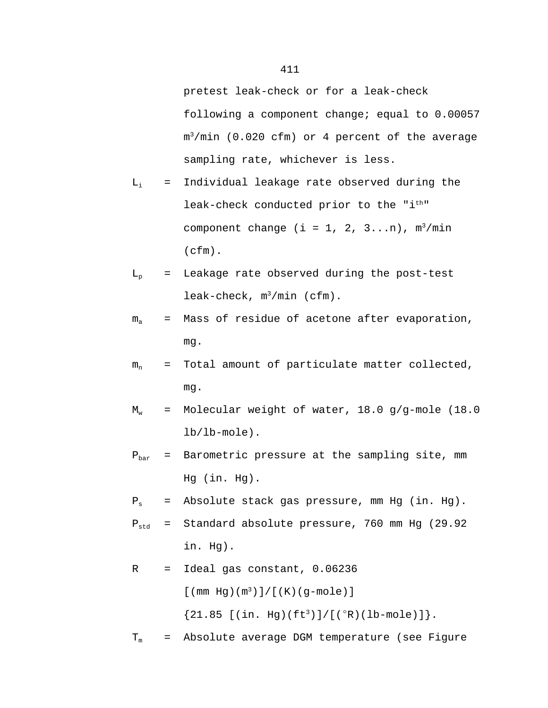pretest leak-check or for a leak-check following a component change; equal to 0.00057  $m^3/min$  (0.020 cfm) or 4 percent of the average sampling rate, whichever is less.

- $L_i$  = Individual leakage rate observed during the leak-check conducted prior to the "i<sup>th</sup>" component change (i = 1, 2, 3...n),  $m^3/min$ (cfm).
- $L_p$  = Leakage rate observed during the post-test leak-check,  $m^3/min$  (cfm).
- $m<sub>a</sub>$  = Mass of residue of acetone after evaporation, mg.
- $m_n$  = Total amount of particulate matter collected, mg.
- $M_w$  = Molecular weight of water, 18.0 g/g-mole (18.0 lb/lb-mole).
- $P_{bar}$  = Barometric pressure at the sampling site, mm Hg (in. Hg).
- $P_s$  = Absolute stack gas pressure, mm Hg (in. Hg).
- $P_{std}$  = Standard absolute pressure, 760 mm Hg (29.92 in. Hg).

R = Ideal gas constant, 0.06236  
\n
$$
[(mm Hg)(m3)]/[(K)(g-mole)]
$$
\n
$$
{21.85 [(in. Hg)(ft3)]/[(°R)(lb-mole)]}.
$$

 $T_m$  = Absolute average DGM temperature (see Figure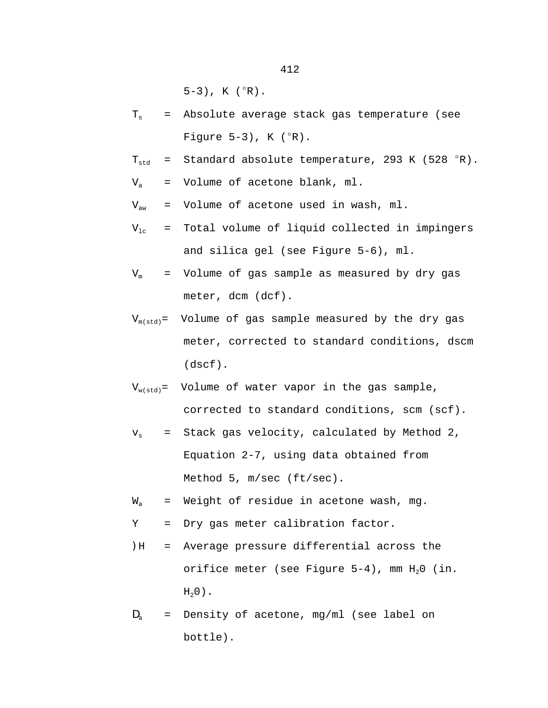$5-3$ ), K ( $^{\circ}R$ ).

- $T<sub>s</sub>$  = Absolute average stack gas temperature (see Figure  $5-3$ ), K  $(^{\circ}R)$ .
- $T_{std}$  = Standard absolute temperature, 293 K (528  $^{\circ}R$ ).
- $V_a$  = Volume of acetone blank, ml.
- $V_{aw}$  = Volume of acetone used in wash, ml.

$$
V_{1c}
$$
 = Total volume of liquid collected in impingers and silica gel (see Figure 5-6), ml.

$$
V_m
$$
 = Volume of gas sample as measured by dry gas meter,  $dcm$  (def).

$$
V_{m(std)}
$$
 = Volume of gas sample measured by the dry gas  
\nmeter, corrected to standard conditions, dscm  
\n(dscf).

- $V_{w(std)}$ = Volume of water vapor in the gas sample, corrected to standard conditions, scm (scf).
- $v<sub>s</sub>$  = Stack gas velocity, calculated by Method 2, Equation 2-7, using data obtained from Method 5, m/sec (ft/sec).
- $W_a$  = Weight of residue in acetone wash, mg.
- Y = Dry gas meter calibration factor.
- )H = Average pressure differential across the orifice meter (see Figure  $5-4$ ), mm  $H_20$  (in.  $H<sub>2</sub>0$ ).
- $D<sub>a</sub>$  = Density of acetone, mg/ml (see label on bottle).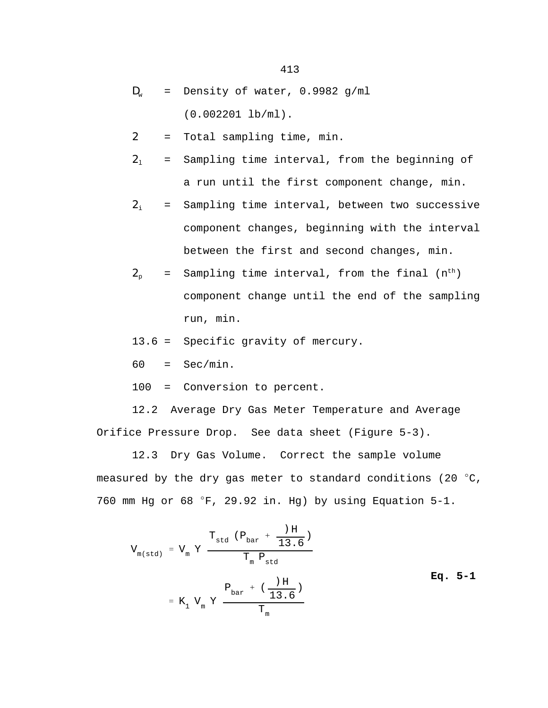- $D_w$  = Density of water, 0.9982 g/ml (0.002201 lb/ml).
- 2 = Total sampling time, min.
- $2<sub>1</sub>$  = Sampling time interval, from the beginning of a run until the first component change, min.

$$
2_i
$$
 = Sampling time interval, between two successive component changes, beginning with the interval between the first and second changes, min.

$$
2_{p}
$$
 = Sampling time interval, from the final  $(n^{\text{th}})$  component change until the end of the sampling run, min.

13.6 = Specific gravity of mercury.

 $60 = \text{Sec/min}.$ 

100 = Conversion to percent.

12.2 Average Dry Gas Meter Temperature and Average Orifice Pressure Drop. See data sheet (Figure 5-3).

12.3 Dry Gas Volume. Correct the sample volume measured by the dry gas meter to standard conditions (20  $^{\circ}$ C, 760 mm Hg or 68  $\degree$ F, 29.92 in. Hg) by using Equation 5-1.

$$
V_{m(std)} = V_{m} Y \frac{T_{std} (P_{bar} + \frac{)H}{13.6})}{T_{m} P_{std}}
$$
  
= K<sub>1</sub> V<sub>m</sub> Y  $\frac{P_{bar} + (\frac{)H}{13.6})}{T_{m}}$  Eq. 5-1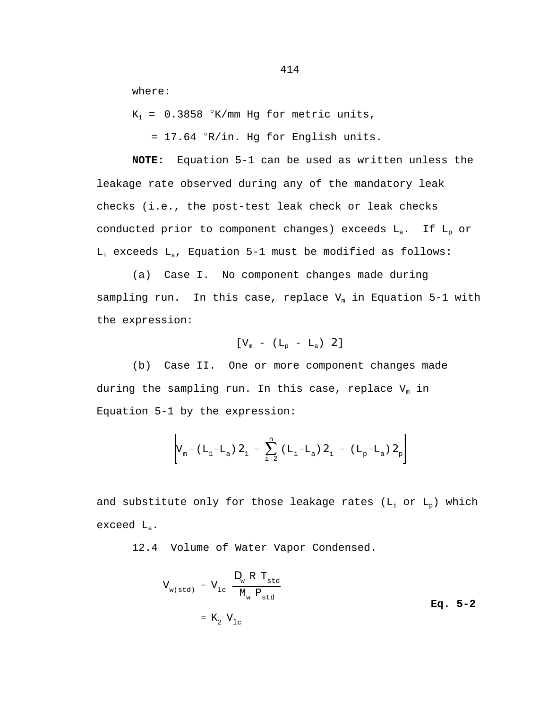where:

 $K_1$  = 0.3858 °K/mm Hg for metric units,

 $= 17.64$   $\degree$ R/in. Hg for English units.

**NOTE:** Equation 5-1 can be used as written unless the leakage rate observed during any of the mandatory leak checks (i.e., the post-test leak check or leak checks conducted prior to component changes) exceeds  $L_a$ . If  $L_p$  or  $L_i$  exceeds  $L_a$ , Equation 5-1 must be modified as follows:

(a) Case I. No component changes made during sampling run. In this case, replace  $V_m$  in Equation 5-1 with the expression:

$$
[V_{\mathrm{m}} - (L_{\mathrm{p}} - L_{\mathrm{a}}) \ \ 2]
$$

(b) Case II. One or more component changes made during the sampling run. In this case, replace  $V_m$  in Equation 5-1 by the expression:

$$
\left[ V_{m} - (L_{1} - L_{a}) \mathbf{2}_{1} - \sum_{i=2}^{n} (L_{i} - L_{a}) \mathbf{2}_{i} - (L_{p} - L_{a}) \mathbf{2}_{p} \right]
$$

and substitute only for those leakage rates ( $L_i$  or  $L_p$ ) which exceed La.

12.4 Volume of Water Vapor Condensed.

$$
V_{w(std)} = V_{1c} \frac{\mathbf{D}_{w} R T_{std}}{M_{w} P_{std}}
$$
  
=  $K_{2} V_{1c}$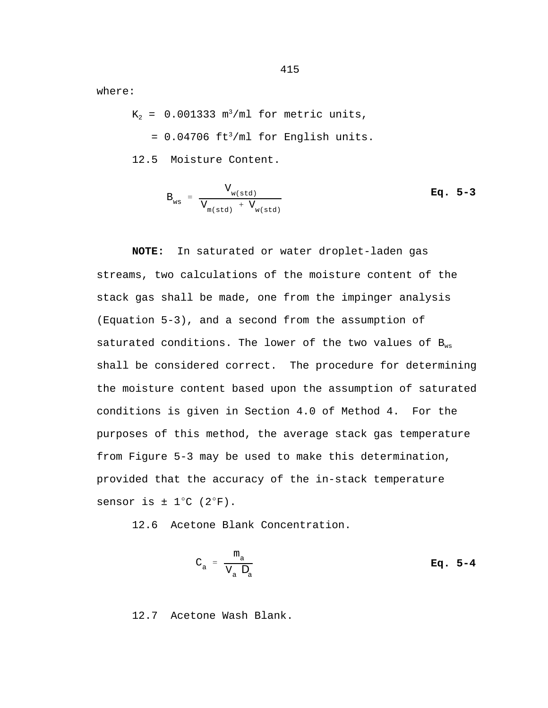where:

 $K_2$  = 0.001333 m<sup>3</sup>/ml for metric units,

 $= 0.04706$  ft<sup>3</sup>/ml for English units.

12.5 Moisture Content.

$$
B_{ws} = \frac{V_{w(std)}}{V_{m(std)}} + V_{w(std)}} \qquad \qquad \mathbf{Eq. 5-3}
$$

**NOTE:** In saturated or water droplet-laden gas streams, two calculations of the moisture content of the stack gas shall be made, one from the impinger analysis (Equation 5-3), and a second from the assumption of saturated conditions. The lower of the two values of  $B_{ws}$ shall be considered correct. The procedure for determining the moisture content based upon the assumption of saturated conditions is given in Section 4.0 of Method 4. For the purposes of this method, the average stack gas temperature from Figure 5-3 may be used to make this determination, provided that the accuracy of the in-stack temperature sensor is  $\pm$  1°C (2°F).

12.6 Acetone Blank Concentration.

$$
C_a = \frac{m_a}{V_a \mathbf{D}_a}
$$
 Eq. 5-4

12.7 Acetone Wash Blank.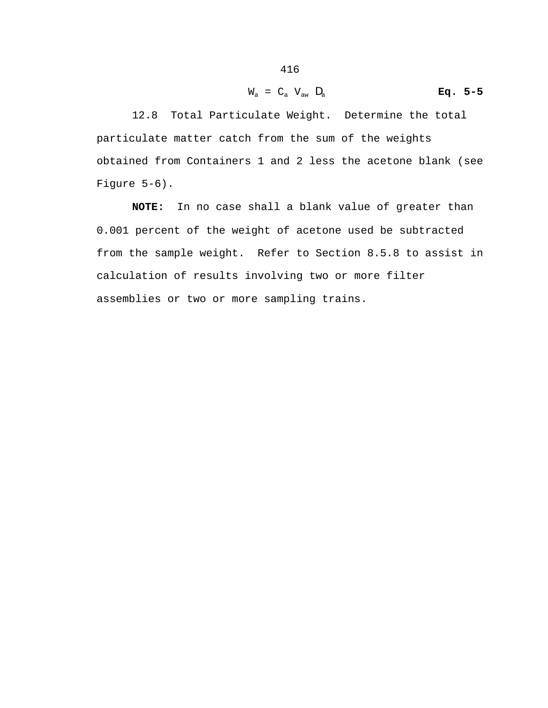$$
W_{a} = C_{a} V_{aw} D_{a}
$$
 Eq. 5-5

12.8 Total Particulate Weight. Determine the total particulate matter catch from the sum of the weights obtained from Containers 1 and 2 less the acetone blank (see Figure 5-6).

**NOTE:** In no case shall a blank value of greater than 0.001 percent of the weight of acetone used be subtracted from the sample weight. Refer to Section 8.5.8 to assist in calculation of results involving two or more filter assemblies or two or more sampling trains.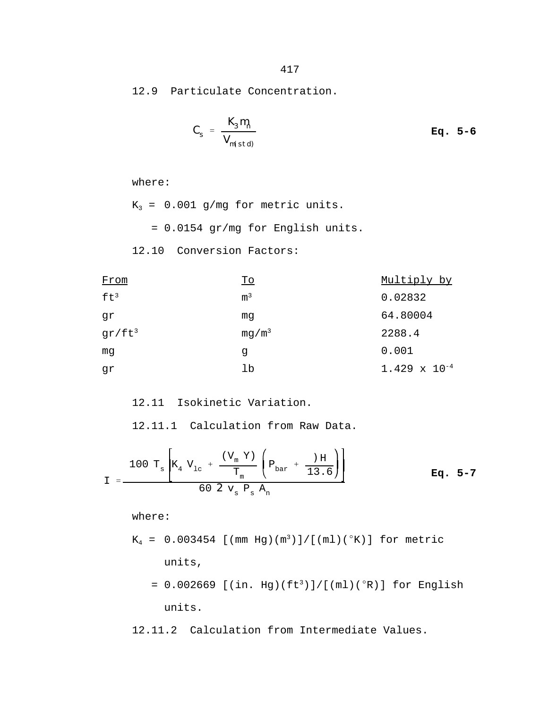12.9 Particulate Concentration.

$$
C_{s} = \frac{K_{3} m_{n}}{V_{m(std)}}
$$
 Eq. 5-6

```
where: 
K_3 = 0.001 g/mg for metric units.
    = 0.0154 gr/mg for English units.
12.10 Conversion Factors:
```

| From            | <u>To</u>         | Multiply by            |
|-----------------|-------------------|------------------------|
| ft <sup>3</sup> | m <sup>3</sup>    | 0.02832                |
| gr              | mq                | 64.80004               |
| $gr/ft^3$       | mg/m <sup>3</sup> | 2288.4                 |
| mq              | g                 | 0.001                  |
| gr              | lb                | $1.429 \times 10^{-4}$ |

12.11 Isokinetic Variation.

12.11.1 Calculation from Raw Data.

$$
I = \frac{100 \text{ T}_\text{s} \left[ K_4 \text{ V}_{1\text{c}} + \frac{(\text{V}_{\text{m}} \text{ Y})}{\text{T}_{\text{m}}} \left( P_{\text{bar}} + \frac{) \text{ H}}{13.6} \right) \right]}{60 \text{ 2 v}_{\text{s}} P_{\text{s}} A_{\text{n}}} \qquad \text{Eq. 5-7}
$$

where:

$$
K_4 = 0.003454
$$
 [(mm Hg)(m<sup>3</sup>)]/[(ml)(°K)] for metric  
units,

$$
= 0.002669 \text{ [(in. Hg)(ft3)] / [(ml)(°R)] for English units.}
$$

12.11.2 Calculation from Intermediate Values.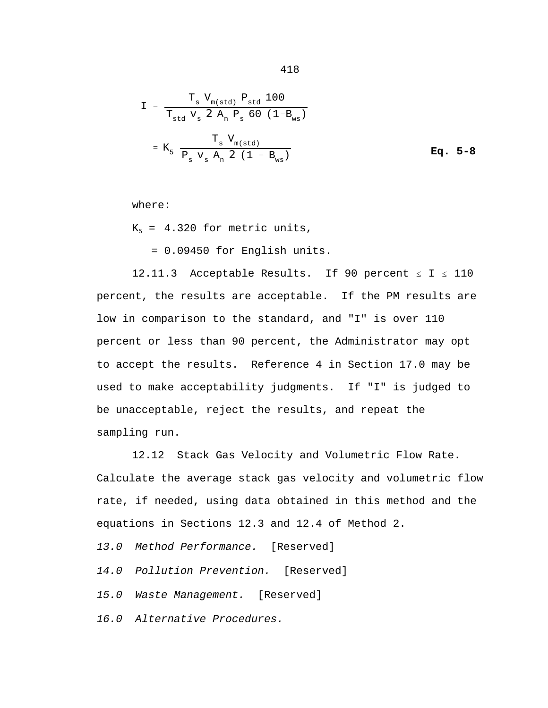$$
I = \frac{T_{s} V_{m(std)} P_{std} 100}{T_{std} V_{s} 2 A_{n} P_{s} 60 (1 - B_{ws})}
$$
  
=  $K_{5} \frac{T_{s} V_{m(std)}}{P_{s} V_{s} A_{n} 2 (1 - B_{ws})}$  Eq. 5-8

where:

 $K_5 = 4.320$  for metric units,

= 0.09450 for English units.

12.11.3 Acceptable Results. If 90 percent  $\leq$  I  $\leq$  110 percent, the results are acceptable. If the PM results are low in comparison to the standard, and "I" is over 110 percent or less than 90 percent, the Administrator may opt to accept the results. Reference 4 in Section 17.0 may be used to make acceptability judgments. If "I" is judged to be unacceptable, reject the results, and repeat the sampling run.

12.12 Stack Gas Velocity and Volumetric Flow Rate. Calculate the average stack gas velocity and volumetric flow rate, if needed, using data obtained in this method and the equations in Sections 12.3 and 12.4 of Method 2. *13.0 Method Performance.* [Reserved] *14.0 Pollution Prevention.* [Reserved] *15.0 Waste Management.* [Reserved] *16.0 Alternative Procedures.*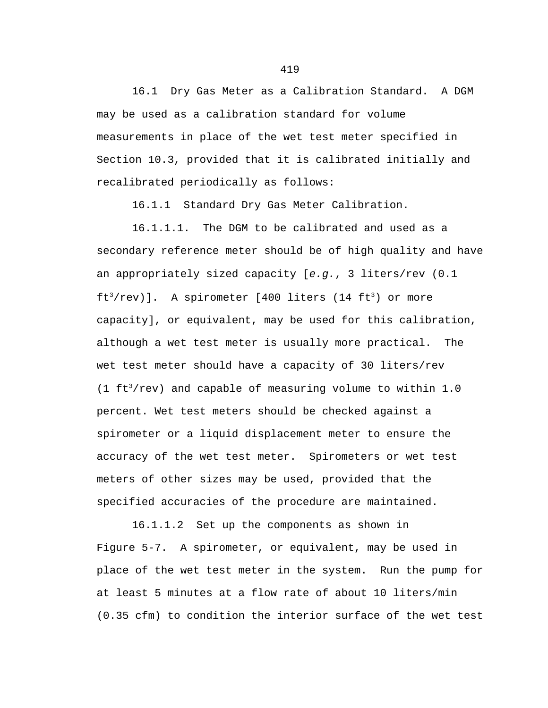16.1 Dry Gas Meter as a Calibration Standard. A DGM may be used as a calibration standard for volume measurements in place of the wet test meter specified in Section 10.3, provided that it is calibrated initially and recalibrated periodically as follows:

16.1.1 Standard Dry Gas Meter Calibration.

16.1.1.1. The DGM to be calibrated and used as a secondary reference meter should be of high quality and have an appropriately sized capacity [*e.g.*, 3 liters/rev (0.1  $ft<sup>3</sup>/rev)$ ]. A spirometer [400 liters (14 ft<sup>3</sup>) or more capacity], or equivalent, may be used for this calibration, although a wet test meter is usually more practical. The wet test meter should have a capacity of 30 liters/rev (1  $ft<sup>3</sup>/rev$ ) and capable of measuring volume to within 1.0 percent. Wet test meters should be checked against a spirometer or a liquid displacement meter to ensure the accuracy of the wet test meter. Spirometers or wet test meters of other sizes may be used, provided that the specified accuracies of the procedure are maintained.

16.1.1.2 Set up the components as shown in Figure 5-7. A spirometer, or equivalent, may be used in place of the wet test meter in the system. Run the pump for at least 5 minutes at a flow rate of about 10 liters/min (0.35 cfm) to condition the interior surface of the wet test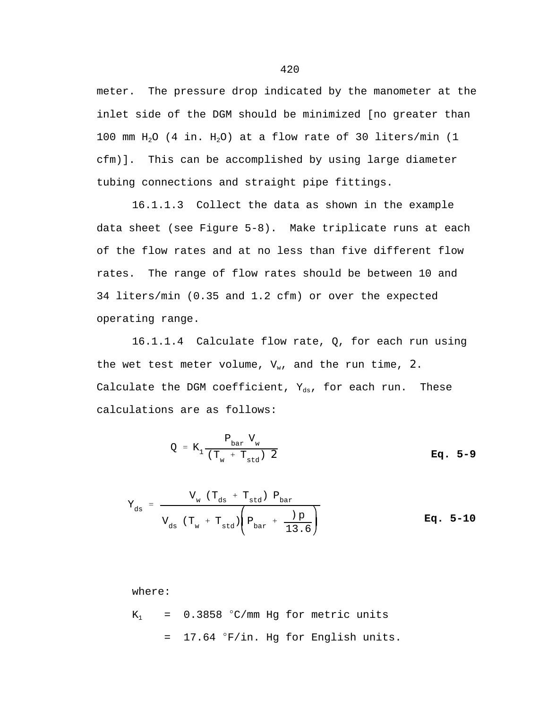meter. The pressure drop indicated by the manometer at the inlet side of the DGM should be minimized [no greater than 100 mm  $H_2O$  (4 in.  $H_2O$ ) at a flow rate of 30 liters/min (1 cfm)]. This can be accomplished by using large diameter tubing connections and straight pipe fittings.

16.1.1.3 Collect the data as shown in the example data sheet (see Figure 5-8). Make triplicate runs at each of the flow rates and at no less than five different flow rates. The range of flow rates should be between 10 and 34 liters/min (0.35 and 1.2 cfm) or over the expected operating range.

16.1.1.4 Calculate flow rate, Q, for each run using the wet test meter volume,  $V_w$ , and the run time, 2. Calculate the DGM coefficient,  $Y_{ds}$ , for each run. These calculations are as follows:

$$
Q = K_1 \frac{P_{bar} V_w}{(T_w + T_{std}) \cdot \mathbf{2}}
$$
 Eq. 5-9

$$
Y_{ds} = \frac{V_{w} (T_{ds} + T_{std}) P_{bar}}{V_{ds} (T_{w} + T_{std}) \left(P_{bar} + \frac{D}{13.6}\right)}
$$
 Eq. 5-10

where:  $K_1$  = 0.3858 °C/mm Hg for metric units  $=$  17.64  $\degree$ F/in. Hg for English units.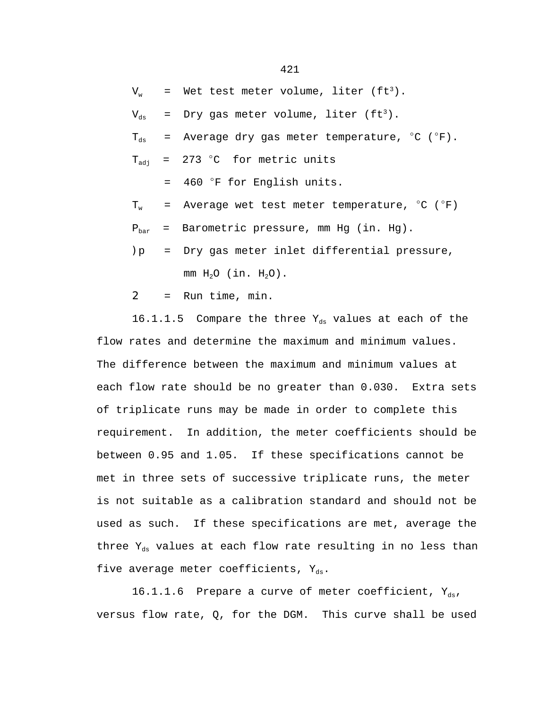$V_w$  = Wet test meter volume, liter (ft<sup>3</sup>).

 $V_{ds}$  = Dry gas meter volume, liter (ft<sup>3</sup>).

 $T_{ds}$  = Average dry gas meter temperature,  $^{\circ}$ C ( $^{\circ}$ F).

 $T_{\text{adi}}$  = 273 °C for metric units

 $=$  460  $\degree$ F for English units.

 $T_w$  = Average wet test meter temperature,  $^{\circ}$ C ( $^{\circ}$ F)

 $P_{\text{bar}}$  = Barometric pressure, mm Hg (in. Hg).

)p = Dry gas meter inlet differential pressure, mm  $H_2O$  (in.  $H_2O$ ).

 $2 =$  Run time, min.

16.1.1.5 Compare the three  $Y_{ds}$  values at each of the flow rates and determine the maximum and minimum values. The difference between the maximum and minimum values at each flow rate should be no greater than 0.030. Extra sets of triplicate runs may be made in order to complete this requirement. In addition, the meter coefficients should be between 0.95 and 1.05. If these specifications cannot be met in three sets of successive triplicate runs, the meter is not suitable as a calibration standard and should not be used as such. If these specifications are met, average the three  $Y_{ds}$  values at each flow rate resulting in no less than five average meter coefficients,  $Y_{ds}$ .

16.1.1.6 Prepare a curve of meter coefficient,  $Y_{ds}$ , versus flow rate,  $Q$ , for the DGM. This curve shall be used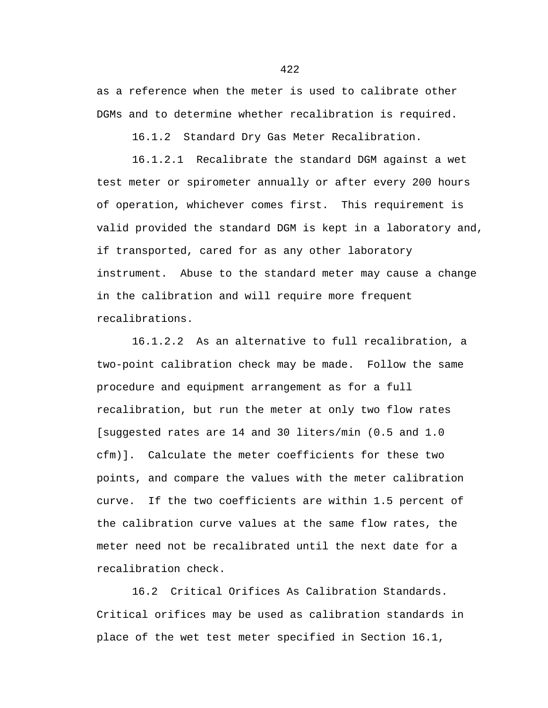as a reference when the meter is used to calibrate other DGMs and to determine whether recalibration is required.

16.1.2 Standard Dry Gas Meter Recalibration.

16.1.2.1 Recalibrate the standard DGM against a wet test meter or spirometer annually or after every 200 hours of operation, whichever comes first. This requirement is valid provided the standard DGM is kept in a laboratory and, if transported, cared for as any other laboratory instrument. Abuse to the standard meter may cause a change in the calibration and will require more frequent recalibrations.

16.1.2.2 As an alternative to full recalibration, a two-point calibration check may be made. Follow the same procedure and equipment arrangement as for a full recalibration, but run the meter at only two flow rates [suggested rates are 14 and 30 liters/min (0.5 and 1.0 cfm)]. Calculate the meter coefficients for these two points, and compare the values with the meter calibration curve. If the two coefficients are within 1.5 percent of the calibration curve values at the same flow rates, the meter need not be recalibrated until the next date for a recalibration check.

16.2 Critical Orifices As Calibration Standards. Critical orifices may be used as calibration standards in place of the wet test meter specified in Section 16.1,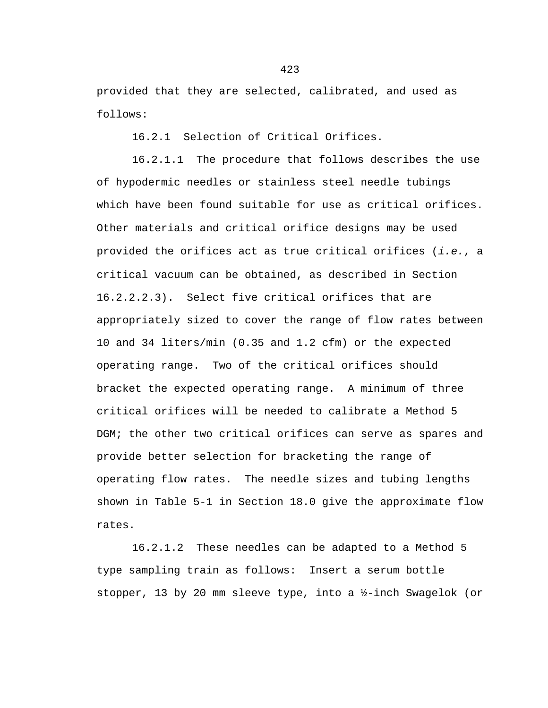provided that they are selected, calibrated, and used as follows:

16.2.1 Selection of Critical Orifices.

16.2.1.1 The procedure that follows describes the use of hypodermic needles or stainless steel needle tubings which have been found suitable for use as critical orifices. Other materials and critical orifice designs may be used provided the orifices act as true critical orifices (*i.e.*, a critical vacuum can be obtained, as described in Section 16.2.2.2.3). Select five critical orifices that are appropriately sized to cover the range of flow rates between 10 and 34 liters/min (0.35 and 1.2 cfm) or the expected operating range. Two of the critical orifices should bracket the expected operating range. A minimum of three critical orifices will be needed to calibrate a Method 5 DGM; the other two critical orifices can serve as spares and provide better selection for bracketing the range of operating flow rates. The needle sizes and tubing lengths shown in Table 5-1 in Section 18.0 give the approximate flow rates.

16.2.1.2 These needles can be adapted to a Method 5 type sampling train as follows: Insert a serum bottle stopper, 13 by 20 mm sleeve type, into a ½-inch Swagelok (or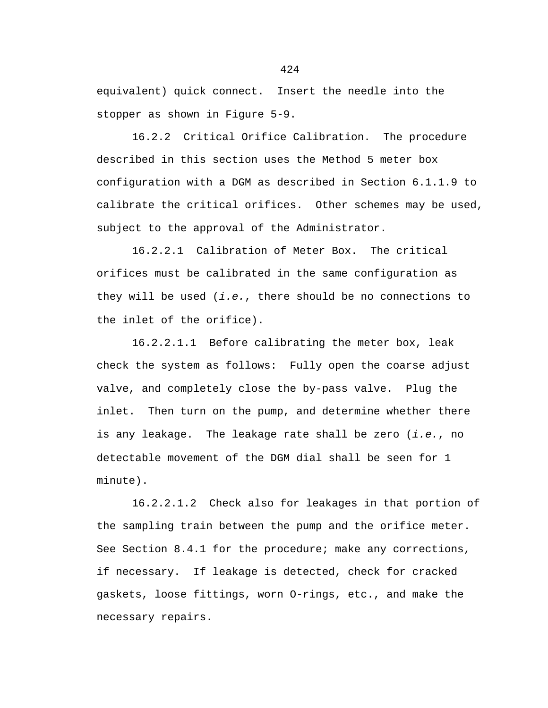equivalent) quick connect. Insert the needle into the stopper as shown in Figure 5-9.

16.2.2 Critical Orifice Calibration. The procedure described in this section uses the Method 5 meter box configuration with a DGM as described in Section 6.1.1.9 to calibrate the critical orifices. Other schemes may be used, subject to the approval of the Administrator.

16.2.2.1 Calibration of Meter Box. The critical orifices must be calibrated in the same configuration as they will be used (*i.e.*, there should be no connections to the inlet of the orifice).

16.2.2.1.1 Before calibrating the meter box, leak check the system as follows: Fully open the coarse adjust valve, and completely close the by-pass valve. Plug the inlet. Then turn on the pump, and determine whether there is any leakage. The leakage rate shall be zero (*i.e.*, no detectable movement of the DGM dial shall be seen for 1 minute).

16.2.2.1.2 Check also for leakages in that portion of the sampling train between the pump and the orifice meter. See Section 8.4.1 for the procedure; make any corrections, if necessary. If leakage is detected, check for cracked gaskets, loose fittings, worn O-rings, etc., and make the necessary repairs.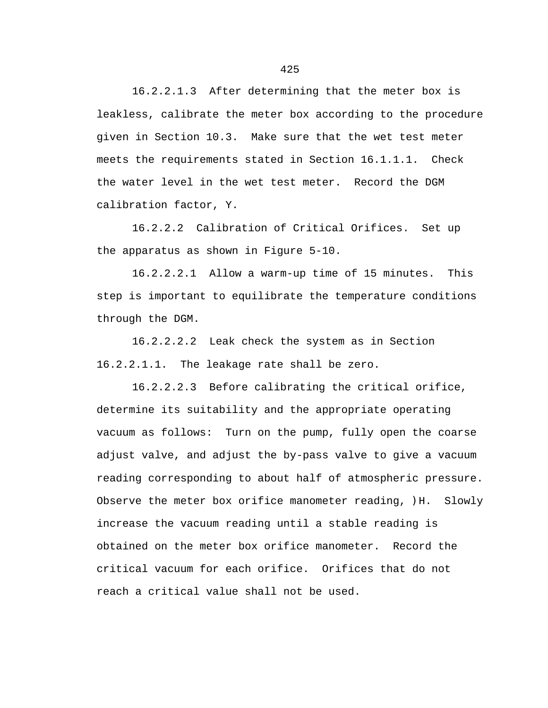16.2.2.1.3 After determining that the meter box is leakless, calibrate the meter box according to the procedure given in Section 10.3. Make sure that the wet test meter meets the requirements stated in Section 16.1.1.1. Check the water level in the wet test meter. Record the DGM calibration factor, Y.

16.2.2.2 Calibration of Critical Orifices. Set up the apparatus as shown in Figure 5-10.

16.2.2.2.1 Allow a warm-up time of 15 minutes. This step is important to equilibrate the temperature conditions through the DGM.

16.2.2.2.2 Leak check the system as in Section 16.2.2.1.1. The leakage rate shall be zero.

16.2.2.2.3 Before calibrating the critical orifice, determine its suitability and the appropriate operating vacuum as follows: Turn on the pump, fully open the coarse adjust valve, and adjust the by-pass valve to give a vacuum reading corresponding to about half of atmospheric pressure. Observe the meter box orifice manometer reading,  $)$ H. Slowly increase the vacuum reading until a stable reading is obtained on the meter box orifice manometer. Record the critical vacuum for each orifice. Orifices that do not reach a critical value shall not be used.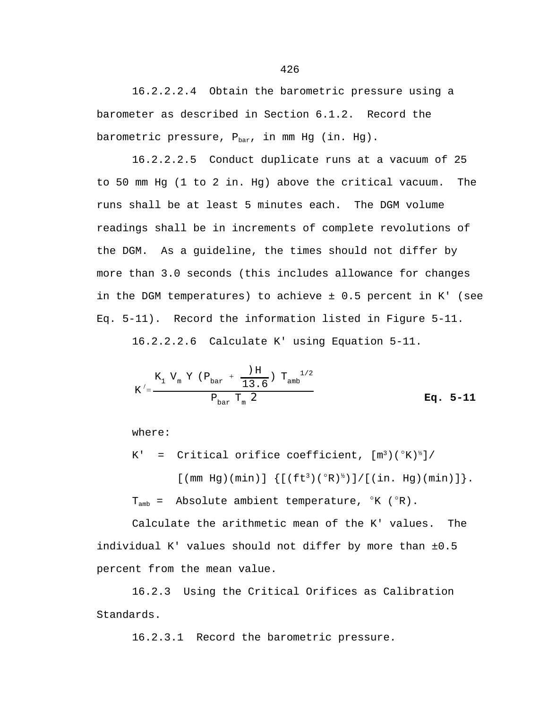16.2.2.2.4 Obtain the barometric pressure using a barometer as described in Section 6.1.2. Record the barometric pressure,  $P_{bar}$ , in mm Hg (in. Hg).

16.2.2.2.5 Conduct duplicate runs at a vacuum of 25 to 50 mm Hg (1 to 2 in. Hg) above the critical vacuum. The runs shall be at least 5 minutes each. The DGM volume readings shall be in increments of complete revolutions of the DGM. As a guideline, the times should not differ by more than 3.0 seconds (this includes allowance for changes in the DGM temperatures) to achieve ± 0.5 percent in K' (see Eq. 5-11). Record the information listed in Figure 5-11.

16.2.2.2.6 Calculate K' using Equation 5-11.

$$
K' = \frac{K_1 V_m Y (P_{bar} + \frac{)H}{13.6}) T_{amb}}{P_{bar} T_m Z}
$$
 Eq. 5-11

where:

K' = Critical orifice coefficient,  $[m^3]({}^{\circ}K)^{\frac{1}{2}}$ 

 $[$  (mm Hg)(min)]  $\{$   $[$  (ft<sup>3</sup>)( $\degree$ R)<sup>½</sup>)]/ $[$  (in. Hg)(min)] $]$ .  $T_{amb}$  = Absolute ambient temperature,  $K (R)$ .

Calculate the arithmetic mean of the K' values. The individual K' values should not differ by more than ±0.5 percent from the mean value.

16.2.3 Using the Critical Orifices as Calibration Standards.

16.2.3.1 Record the barometric pressure.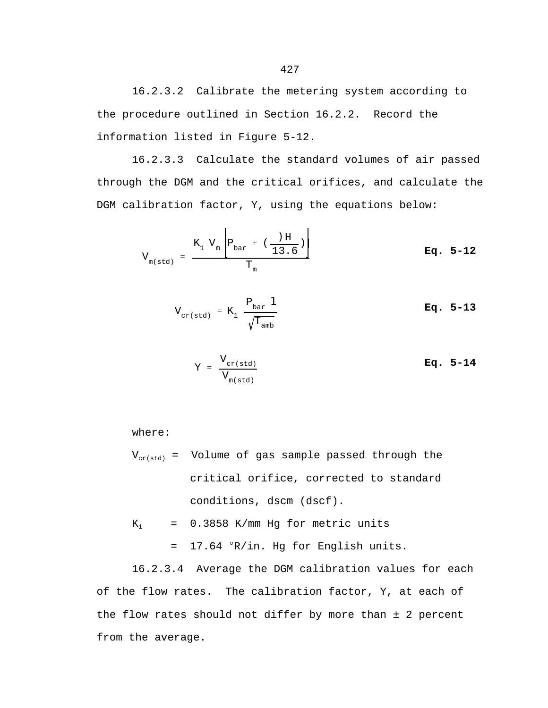16.2.3.3 Calculate the standard volumes of air passed through the DGM and the critical orifices, and calculate the DGM calibration factor, Y, using the equations below:

$$
V_{m(std)} = \frac{K_1 V_m \left[ P_{bar} + (\frac{)H}{13.6}) \right]}{T_m}
$$
 Eq. 5-12

$$
V_{\text{cr}(std)} = K_1 \frac{P_{\text{bar}} \mathbf{1}}{\sqrt{T_{\text{amb}}}}
$$
 Eq. 5-13

$$
Y = \frac{V_{cr(std)}}{V_{m(std)}} \qquad \qquad \mathbf{Eq. 5-14}
$$

where:

$$
V_{\text{cr(std)}}
$$
 = Volume of gas sample passed through the critical orifice, corrected to standard conditions,  $dscm$  (dscf).

$$
K_1
$$
 = 0.3858 K/mm Hg for metric units  
= 17.64 °R/in. Hg for English units.

16.2.3.4 Average the DGM calibration values for each of the flow rates. The calibration factor, Y, at each of the flow rates should not differ by more than ± 2 percent from the average.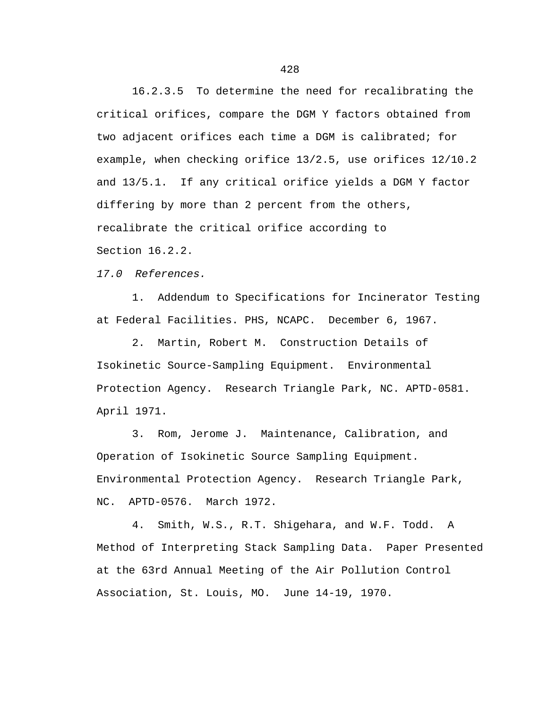16.2.3.5 To determine the need for recalibrating the critical orifices, compare the DGM Y factors obtained from two adjacent orifices each time a DGM is calibrated; for example, when checking orifice 13/2.5, use orifices 12/10.2 and 13/5.1. If any critical orifice yields a DGM Y factor differing by more than 2 percent from the others, recalibrate the critical orifice according to Section 16.2.2.

*17.0 References.*

1. Addendum to Specifications for Incinerator Testing at Federal Facilities. PHS, NCAPC. December 6, 1967.

2. Martin, Robert M. Construction Details of Isokinetic Source-Sampling Equipment. Environmental Protection Agency. Research Triangle Park, NC. APTD-0581. April 1971.

3. Rom, Jerome J. Maintenance, Calibration, and Operation of Isokinetic Source Sampling Equipment. Environmental Protection Agency. Research Triangle Park, NC. APTD-0576. March 1972.

4. Smith, W.S., R.T. Shigehara, and W.F. Todd. A Method of Interpreting Stack Sampling Data. Paper Presented at the 63rd Annual Meeting of the Air Pollution Control Association, St. Louis, MO. June 14-19, 1970.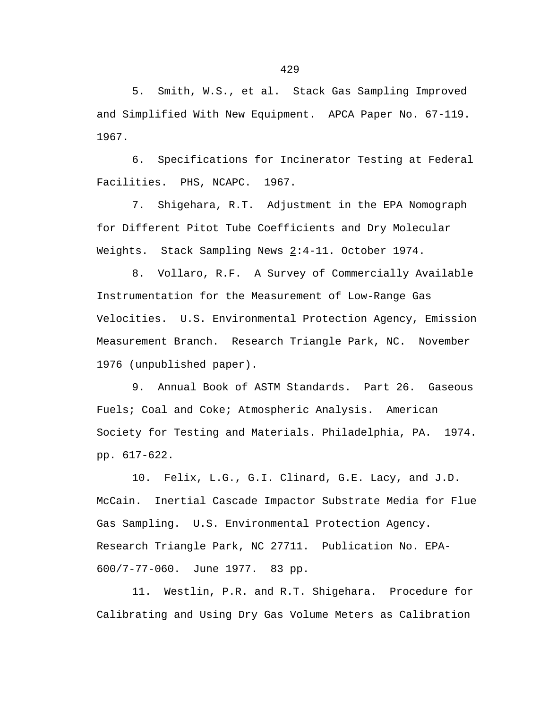5. Smith, W.S., et al. Stack Gas Sampling Improved and Simplified With New Equipment. APCA Paper No. 67-119. 1967.

6. Specifications for Incinerator Testing at Federal Facilities. PHS, NCAPC. 1967.

7. Shigehara, R.T. Adjustment in the EPA Nomograph for Different Pitot Tube Coefficients and Dry Molecular Weights. Stack Sampling News 2:4-11. October 1974.

8. Vollaro, R.F. A Survey of Commercially Available Instrumentation for the Measurement of Low-Range Gas Velocities. U.S. Environmental Protection Agency, Emission Measurement Branch. Research Triangle Park, NC. November 1976 (unpublished paper).

9. Annual Book of ASTM Standards. Part 26. Gaseous Fuels; Coal and Coke; Atmospheric Analysis. American Society for Testing and Materials. Philadelphia, PA. 1974. pp. 617-622.

10. Felix, L.G., G.I. Clinard, G.E. Lacy, and J.D. McCain. Inertial Cascade Impactor Substrate Media for Flue Gas Sampling. U.S. Environmental Protection Agency. Research Triangle Park, NC 27711. Publication No. EPA-600/7-77-060. June 1977. 83 pp.

11. Westlin, P.R. and R.T. Shigehara. Procedure for Calibrating and Using Dry Gas Volume Meters as Calibration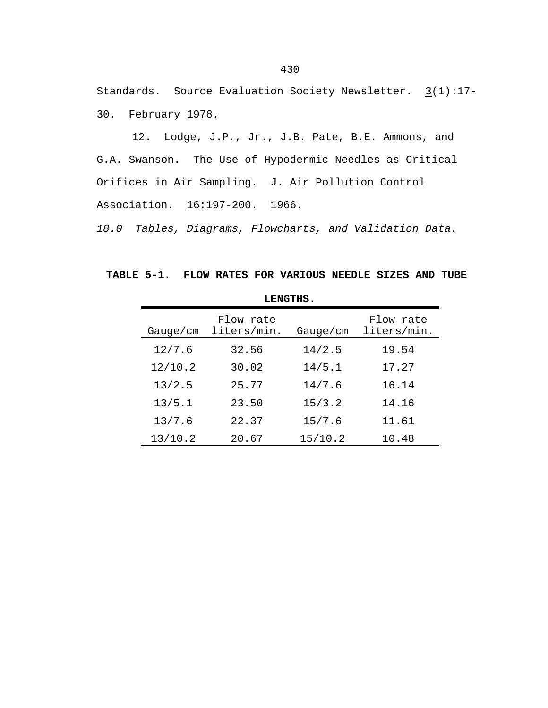Standards. Source Evaluation Society Newsletter.  $3(1):17-$ 30. February 1978.

12. Lodge, J.P., Jr., J.B. Pate, B.E. Ammons, and G.A. Swanson. The Use of Hypodermic Needles as Critical Orifices in Air Sampling. J. Air Pollution Control Association. 16:197-200. 1966.

*18.0 Tables, Diagrams, Flowcharts, and Validation Data.*

**TABLE 5-1. FLOW RATES FOR VARIOUS NEEDLE SIZES AND TUBE** 

| LENGTHS. |                          |          |                          |  |  |  |  |
|----------|--------------------------|----------|--------------------------|--|--|--|--|
| Gauge/cm | Flow rate<br>liters/min. | Gauge/cm | Flow rate<br>liters/min. |  |  |  |  |
| 12/7.6   | 32.56                    | 14/2.5   | 19.54                    |  |  |  |  |
| 12/10.2  | 30.02                    | 14/5.1   | 17.27                    |  |  |  |  |
| 13/2.5   | 25.77                    | 14/7.6   | 16.14                    |  |  |  |  |
| 13/5.1   | 23.50                    | 15/3.2   | 14.16                    |  |  |  |  |
| 13/7.6   | 22.37                    | 15/7.6   | 11.61                    |  |  |  |  |
| 13/10.2  | 20.67                    | 15/10.2  | 10.48                    |  |  |  |  |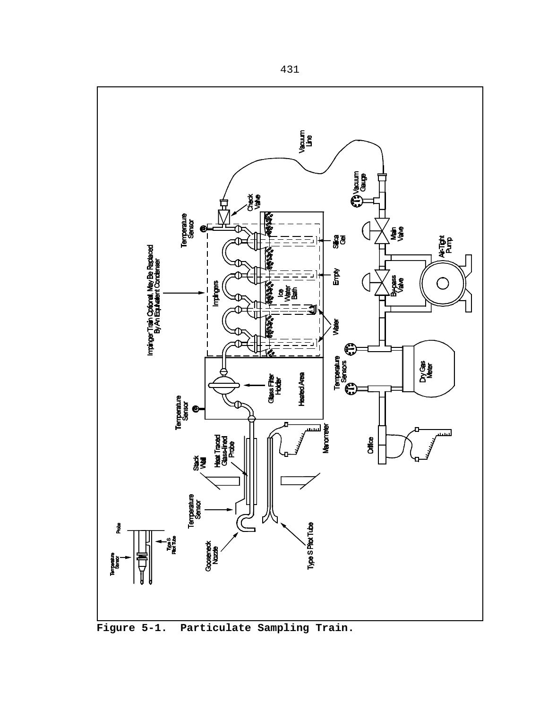

**Figure 5-1. Particulate Sampling Train.**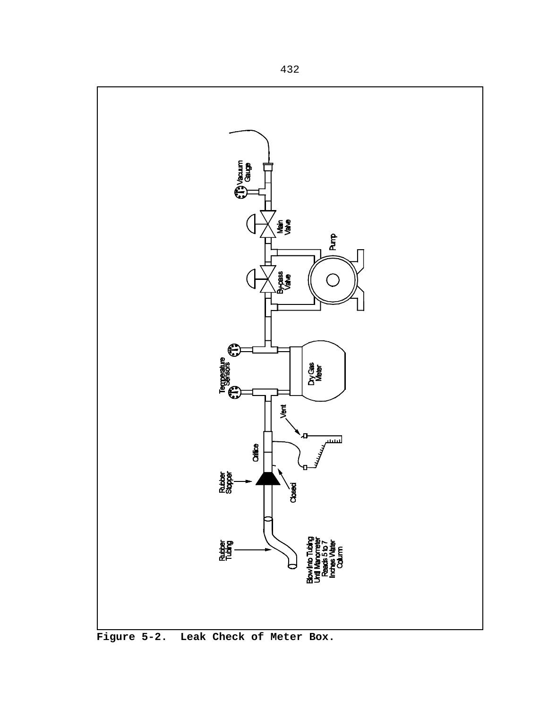

**Figure 5-2. Leak Check of Meter Box.**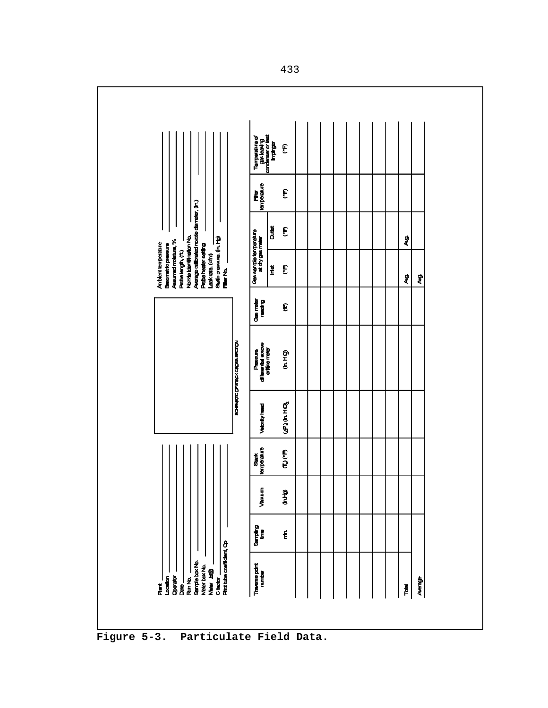

**Figure 5-3. Particulate Field Data.**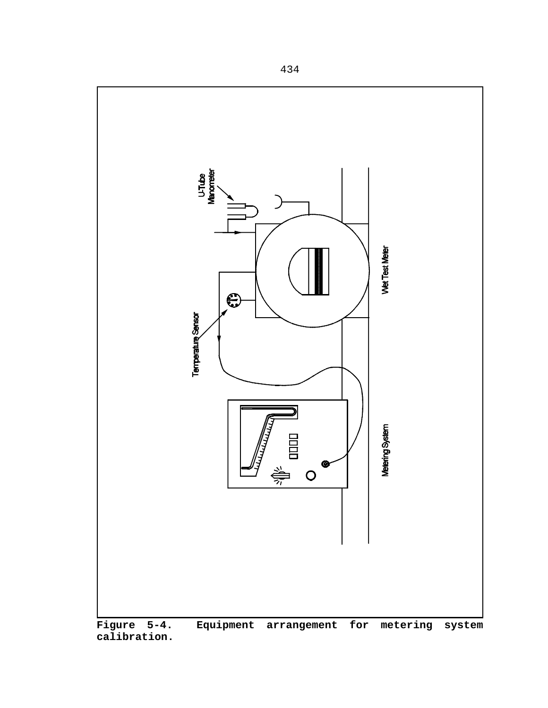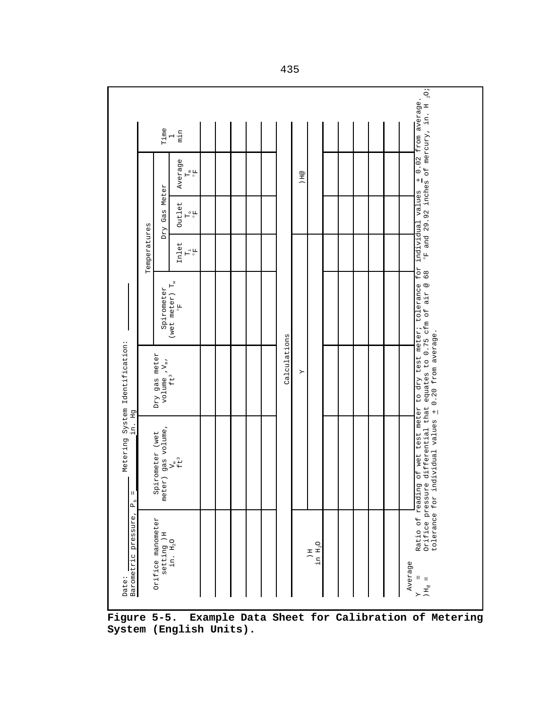| $\degree$ F and 29.92 inches of mercury, in. H $_2$ O;<br>of wet test meter to dry test meter; tolerance for individual values + 0.02 from average.<br>Dry Gas Meter<br>Outlet<br>$\mathbb{H}^{\circ}$ fr<br>Temperatures<br>Inlet<br>$\mathbb{H}^{\frac{1}{n}}$<br>68<br>(wet meter) $T_w$<br>equates to 0.75 cfm of air @<br>Spirometer<br>F<br>0.20 from average.<br>Calculations<br>Dry gas meter<br>$volume, V_m,$ ft <sup>3</sup><br>Υ<br>differential that<br>tolerance for individual values +<br>meter) gas volume,<br>Spirometer (wet<br>$V^*_{\tilde{t}}$ | Time | min<br>$\overline{\phantom{0}}$<br>Average<br>$\mathbb{H}^{\frac{1}{6}}$ |  |  |  | H@ |  |  |  |                                      |
|----------------------------------------------------------------------------------------------------------------------------------------------------------------------------------------------------------------------------------------------------------------------------------------------------------------------------------------------------------------------------------------------------------------------------------------------------------------------------------------------------------------------------------------------------------------------|------|--------------------------------------------------------------------------|--|--|--|----|--|--|--|--------------------------------------|
|                                                                                                                                                                                                                                                                                                                                                                                                                                                                                                                                                                      |      |                                                                          |  |  |  |    |  |  |  |                                      |
|                                                                                                                                                                                                                                                                                                                                                                                                                                                                                                                                                                      |      |                                                                          |  |  |  |    |  |  |  |                                      |
|                                                                                                                                                                                                                                                                                                                                                                                                                                                                                                                                                                      |      |                                                                          |  |  |  |    |  |  |  |                                      |
|                                                                                                                                                                                                                                                                                                                                                                                                                                                                                                                                                                      |      |                                                                          |  |  |  |    |  |  |  |                                      |
|                                                                                                                                                                                                                                                                                                                                                                                                                                                                                                                                                                      |      |                                                                          |  |  |  |    |  |  |  | Ratio of reading<br>Orifice pressure |

**Figure 5-5. Example Data Sheet for Calibration of Metering System (English Units).**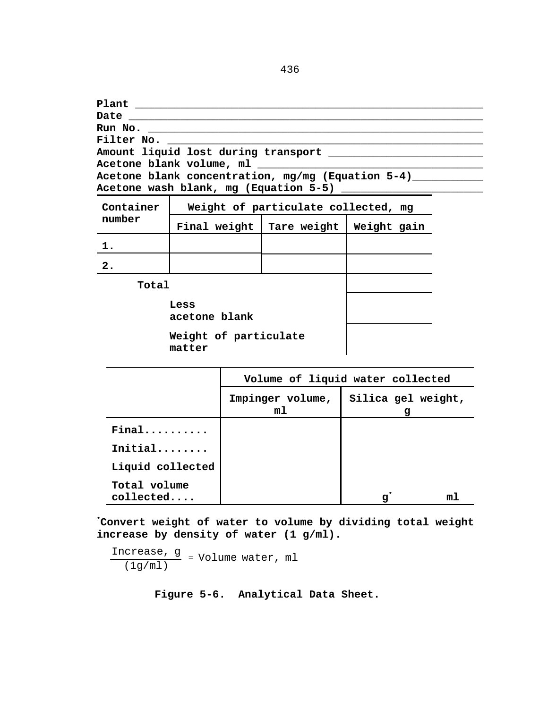**Plant \_\_\_\_\_\_\_\_\_\_\_\_\_\_\_\_\_\_\_\_\_\_\_\_\_\_\_\_\_\_\_\_\_\_\_\_\_\_\_\_\_\_\_\_\_\_\_\_\_\_\_\_\_\_ Date**  $\blacksquare$ **Run No. \_\_\_\_\_\_\_\_\_\_\_\_\_\_\_\_\_\_\_\_\_\_\_\_\_\_\_\_\_\_\_\_\_\_\_\_\_\_\_\_\_\_\_\_\_\_\_\_\_\_\_\_ Filter No. \_\_\_\_\_\_\_\_\_\_\_\_\_\_\_\_\_\_\_\_\_\_\_\_\_\_\_\_\_\_\_\_\_\_\_\_\_\_\_\_\_\_\_\_\_\_\_\_\_ Amount liquid lost during transport \_\_\_\_\_\_\_\_\_\_\_\_\_\_\_\_\_\_\_\_\_\_\_\_ Acetone blank volume, ml \_\_\_\_\_\_\_\_\_\_\_\_\_\_\_\_\_\_\_\_\_\_\_\_\_\_\_\_\_\_\_\_\_\_\_** Acetone blank concentration, mg/mg (Equation 5-4)\_\_\_\_\_\_\_\_\_\_\_\_\_\_\_\_\_\_\_\_\_\_\_\_\_\_\_\_\_\_\_\_ **Acetone wash blank, mg (Equation 5-5) \_\_\_\_\_\_\_\_\_\_\_\_\_\_\_\_\_\_\_\_\_\_**

| Container             | Weight of particulate collected, mg |             |             |  |  |  |  |  |
|-----------------------|-------------------------------------|-------------|-------------|--|--|--|--|--|
| number                | Final weight                        | Tare weight | Weight gain |  |  |  |  |  |
| 1.                    |                                     |             |             |  |  |  |  |  |
| $\overline{2}$ .      |                                     |             |             |  |  |  |  |  |
| Total                 |                                     |             |             |  |  |  |  |  |
| Less<br>acetone blank |                                     |             |             |  |  |  |  |  |
| Weight of particulate |                                     |             |             |  |  |  |  |  |

**matter**

|                           | Volume of liquid water collected |                         |  |  |  |
|---------------------------|----------------------------------|-------------------------|--|--|--|
|                           | Impinger volume,<br>m1           | Silica gel weight,<br>g |  |  |  |
| Final                     |                                  |                         |  |  |  |
| Initial                   |                                  |                         |  |  |  |
| Liquid collected          |                                  |                         |  |  |  |
| Total volume<br>collected |                                  | $\mathbf{g}^*$          |  |  |  |

 $\begin{array}{c} \end{array}$ 

**\*Convert weight of water to volume by dividing total weight increase by density of water (1 g/ml).**

Increase, g  $\frac{c_t}{(1g/ml)}$  = Volume water, ml

**Figure 5-6. Analytical Data Sheet.**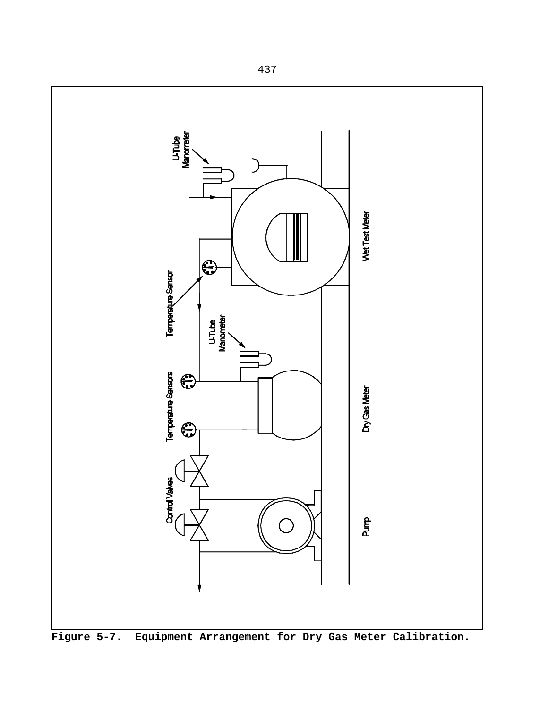

**Figure 5-7. Equipment Arrangement for Dry Gas Meter Calibration.**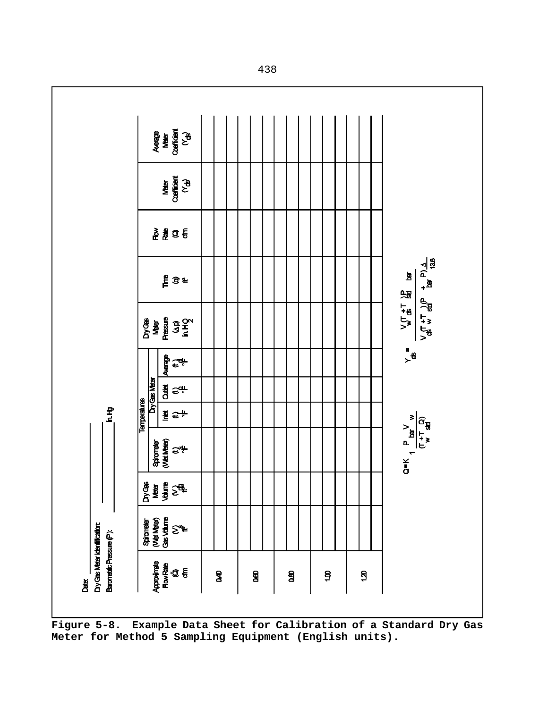

**Figure 5-8. Example Data Sheet for Calibration of a Standard Dry Gas Meter for Method 5 Sampling Equipment (English units).**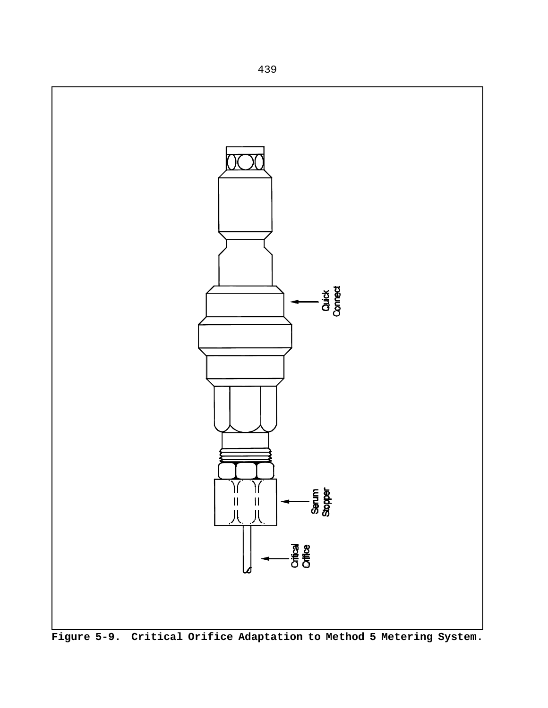

**Figure 5-9. Critical Orifice Adaptation to Method 5 Metering System.**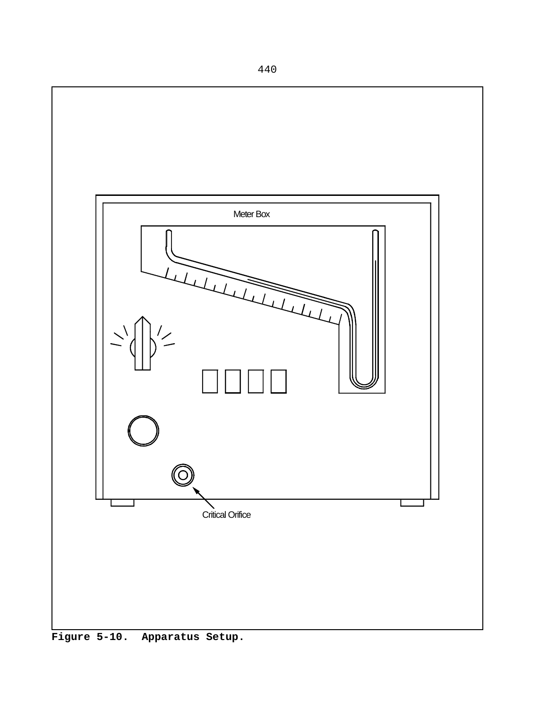

**Figure 5-10. Apparatus Setup.**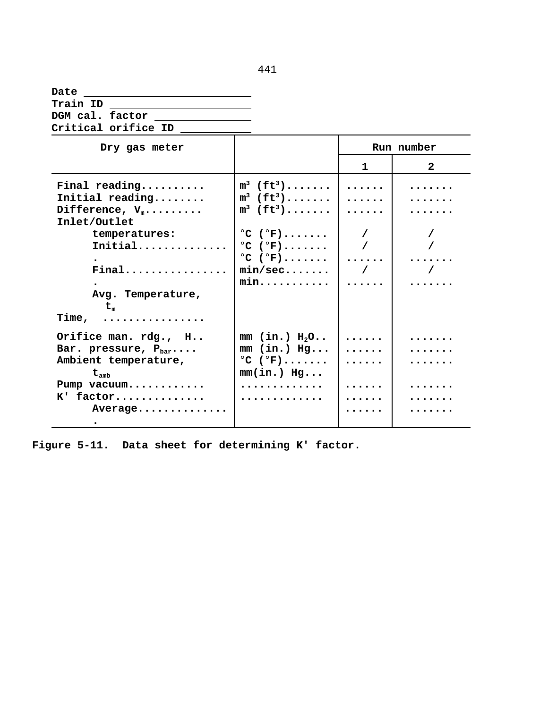| Date                |  |  |
|---------------------|--|--|
| Train ID            |  |  |
| DGM cal. factor     |  |  |
| Critical orifice ID |  |  |

| Dry gas meter                                                                                                                                                                   |                                                                                                                                                                                                                            |                                                               | Run number   |
|---------------------------------------------------------------------------------------------------------------------------------------------------------------------------------|----------------------------------------------------------------------------------------------------------------------------------------------------------------------------------------------------------------------------|---------------------------------------------------------------|--------------|
|                                                                                                                                                                                 |                                                                                                                                                                                                                            | 1                                                             | $\mathbf{2}$ |
| Final reading<br>Initial reading<br>Difference, $V_m$<br>Inlet/Outlet<br>temperatures:<br>Initial<br>Final<br>Avg. Temperature,<br>$t_{\scriptscriptstyle \rm m}$<br>.<br>Time, | $m^3$ (ft <sup>3</sup> )<br>$m^3$ (ft <sup>3</sup> )<br>$m^3$ (ft <sup>3</sup> )<br>$^{\circ}$ C ( $^{\circ}$ F)<br>$^{\circ}$ C ( $^{\circ}$ F)<br>$^{\circ}$ C ( $^{\circ}$ F)<br>min/sec<br>$min. \ldots \ldots \ldots$ | .<br>.<br>$\cdots$<br>$\frac{1}{2}$<br>$\sqrt{2}$<br>$\cdots$ | .            |
| Orifice man. rdg., H<br>Bar. pressure, $P_{bar}$<br>Ambient temperature,<br>$t_{\rm amb}$<br>Pump vacuum<br>K' factor<br>Average                                                | $mm$ (in.) $H_2O$<br>$mm$ (in.) Hg<br>$^{\circ}C$ ( $^{\circ}F$ )<br>$mm(in.)$ Hg<br>.<br>.                                                                                                                                | .<br>.<br>.<br>.<br>.                                         |              |

**Figure 5-11. Data sheet for determining K' factor.**